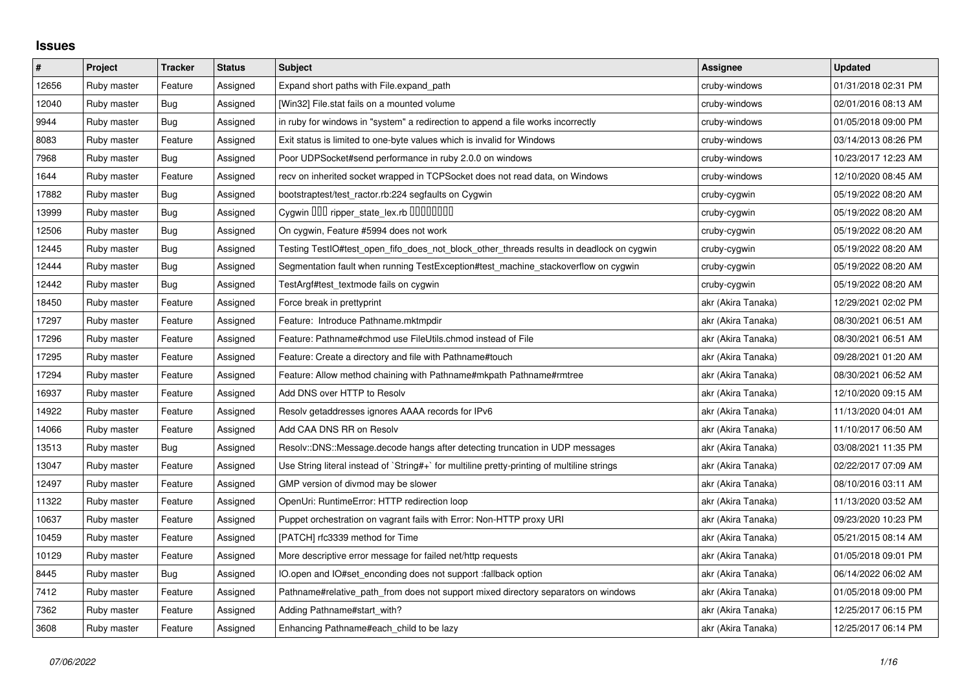## **Issues**

| $\#$  | Project     | <b>Tracker</b> | <b>Status</b> | <b>Subject</b>                                                                              | Assignee           | <b>Updated</b>      |
|-------|-------------|----------------|---------------|---------------------------------------------------------------------------------------------|--------------------|---------------------|
| 12656 | Ruby master | Feature        | Assigned      | Expand short paths with File.expand path                                                    | cruby-windows      | 01/31/2018 02:31 PM |
| 12040 | Ruby master | Bug            | Assigned      | [Win32] File.stat fails on a mounted volume                                                 | cruby-windows      | 02/01/2016 08:13 AM |
| 9944  | Ruby master | Bug            | Assigned      | in ruby for windows in "system" a redirection to append a file works incorrectly            | cruby-windows      | 01/05/2018 09:00 PM |
| 8083  | Ruby master | Feature        | Assigned      | Exit status is limited to one-byte values which is invalid for Windows                      | cruby-windows      | 03/14/2013 08:26 PM |
| 7968  | Ruby master | Bug            | Assigned      | Poor UDPSocket#send performance in ruby 2.0.0 on windows                                    | cruby-windows      | 10/23/2017 12:23 AM |
| 1644  | Ruby master | Feature        | Assigned      | recv on inherited socket wrapped in TCPSocket does not read data, on Windows                | cruby-windows      | 12/10/2020 08:45 AM |
| 17882 | Ruby master | Bug            | Assigned      | bootstraptest/test_ractor.rb:224 segfaults on Cygwin                                        | cruby-cygwin       | 05/19/2022 08:20 AM |
| 13999 | Ruby master | Bug            | Assigned      | Cygwin DDD ripper_state_lex.rb DDDDDDDD                                                     | cruby-cygwin       | 05/19/2022 08:20 AM |
| 12506 | Ruby master | <b>Bug</b>     | Assigned      | On cygwin, Feature #5994 does not work                                                      | cruby-cygwin       | 05/19/2022 08:20 AM |
| 12445 | Ruby master | <b>Bug</b>     | Assigned      | Testing TestIO#test_open_fifo_does_not_block_other_threads results in deadlock on cygwin    | cruby-cygwin       | 05/19/2022 08:20 AM |
| 12444 | Ruby master | Bug            | Assigned      | Segmentation fault when running TestException#test machine stackoverflow on cygwin          | cruby-cygwin       | 05/19/2022 08:20 AM |
| 12442 | Ruby master | Bug            | Assigned      | TestArgf#test_textmode fails on cygwin                                                      | cruby-cygwin       | 05/19/2022 08:20 AM |
| 18450 | Ruby master | Feature        | Assigned      | Force break in prettyprint                                                                  | akr (Akira Tanaka) | 12/29/2021 02:02 PM |
| 17297 | Ruby master | Feature        | Assigned      | Feature: Introduce Pathname.mktmpdir                                                        | akr (Akira Tanaka) | 08/30/2021 06:51 AM |
| 17296 | Ruby master | Feature        | Assigned      | Feature: Pathname#chmod use FileUtils.chmod instead of File                                 | akr (Akira Tanaka) | 08/30/2021 06:51 AM |
| 17295 | Ruby master | Feature        | Assigned      | Feature: Create a directory and file with Pathname#touch                                    | akr (Akira Tanaka) | 09/28/2021 01:20 AM |
| 17294 | Ruby master | Feature        | Assigned      | Feature: Allow method chaining with Pathname#mkpath Pathname#rmtree                         | akr (Akira Tanaka) | 08/30/2021 06:52 AM |
| 16937 | Ruby master | Feature        | Assigned      | Add DNS over HTTP to Resolv                                                                 | akr (Akira Tanaka) | 12/10/2020 09:15 AM |
| 14922 | Ruby master | Feature        | Assigned      | Resolv getaddresses ignores AAAA records for IPv6                                           | akr (Akira Tanaka) | 11/13/2020 04:01 AM |
| 14066 | Ruby master | Feature        | Assigned      | Add CAA DNS RR on Resolv                                                                    | akr (Akira Tanaka) | 11/10/2017 06:50 AM |
| 13513 | Ruby master | <b>Bug</b>     | Assigned      | Resolv::DNS::Message.decode hangs after detecting truncation in UDP messages                | akr (Akira Tanaka) | 03/08/2021 11:35 PM |
| 13047 | Ruby master | Feature        | Assigned      | Use String literal instead of `String#+` for multiline pretty-printing of multiline strings | akr (Akira Tanaka) | 02/22/2017 07:09 AM |
| 12497 | Ruby master | Feature        | Assigned      | GMP version of divmod may be slower                                                         | akr (Akira Tanaka) | 08/10/2016 03:11 AM |
| 11322 | Ruby master | Feature        | Assigned      | OpenUri: RuntimeError: HTTP redirection loop                                                | akr (Akira Tanaka) | 11/13/2020 03:52 AM |
| 10637 | Ruby master | Feature        | Assigned      | Puppet orchestration on vagrant fails with Error: Non-HTTP proxy URI                        | akr (Akira Tanaka) | 09/23/2020 10:23 PM |
| 10459 | Ruby master | Feature        | Assigned      | [PATCH] rfc3339 method for Time                                                             | akr (Akira Tanaka) | 05/21/2015 08:14 AM |
| 10129 | Ruby master | Feature        | Assigned      | More descriptive error message for failed net/http requests                                 | akr (Akira Tanaka) | 01/05/2018 09:01 PM |
| 8445  | Ruby master | Bug            | Assigned      | O.open and IO#set enconding does not support :fallback option                               | akr (Akira Tanaka) | 06/14/2022 06:02 AM |
| 7412  | Ruby master | Feature        | Assigned      | Pathname#relative_path_from does not support mixed directory separators on windows          | akr (Akira Tanaka) | 01/05/2018 09:00 PM |
| 7362  | Ruby master | Feature        | Assigned      | Adding Pathname#start_with?                                                                 | akr (Akira Tanaka) | 12/25/2017 06:15 PM |
| 3608  | Ruby master | Feature        | Assigned      | Enhancing Pathname#each_child to be lazy                                                    | akr (Akira Tanaka) | 12/25/2017 06:14 PM |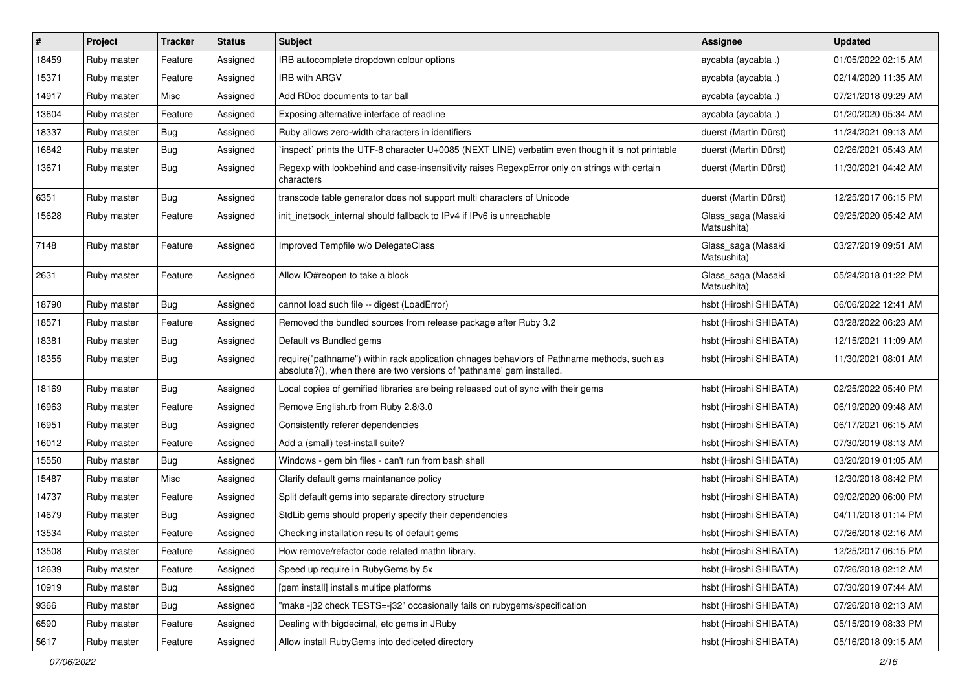| #     | Project     | <b>Tracker</b> | <b>Status</b> | <b>Subject</b>                                                                                                                                                      | Assignee                          | <b>Updated</b>      |
|-------|-------------|----------------|---------------|---------------------------------------------------------------------------------------------------------------------------------------------------------------------|-----------------------------------|---------------------|
| 18459 | Ruby master | Feature        | Assigned      | IRB autocomplete dropdown colour options                                                                                                                            | aycabta (aycabta .)               | 01/05/2022 02:15 AM |
| 15371 | Ruby master | Feature        | Assigned      | <b>IRB with ARGV</b>                                                                                                                                                | aycabta (aycabta.)                | 02/14/2020 11:35 AM |
| 14917 | Ruby master | Misc           | Assigned      | Add RDoc documents to tar ball                                                                                                                                      | aycabta (aycabta.)                | 07/21/2018 09:29 AM |
| 13604 | Ruby master | Feature        | Assigned      | Exposing alternative interface of readline                                                                                                                          | aycabta (aycabta.)                | 01/20/2020 05:34 AM |
| 18337 | Ruby master | <b>Bug</b>     | Assigned      | Ruby allows zero-width characters in identifiers                                                                                                                    | duerst (Martin Dürst)             | 11/24/2021 09:13 AM |
| 16842 | Ruby master | Bug            | Assigned      | inspect` prints the UTF-8 character U+0085 (NEXT LINE) verbatim even though it is not printable                                                                     | duerst (Martin Dürst)             | 02/26/2021 05:43 AM |
| 13671 | Ruby master | Bug            | Assigned      | Regexp with lookbehind and case-insensitivity raises RegexpError only on strings with certain<br>characters                                                         | duerst (Martin Dürst)             | 11/30/2021 04:42 AM |
| 6351  | Ruby master | Bug            | Assigned      | transcode table generator does not support multi characters of Unicode                                                                                              | duerst (Martin Dürst)             | 12/25/2017 06:15 PM |
| 15628 | Ruby master | Feature        | Assigned      | init_inetsock_internal should fallback to IPv4 if IPv6 is unreachable                                                                                               | Glass_saga (Masaki<br>Matsushita) | 09/25/2020 05:42 AM |
| 7148  | Ruby master | Feature        | Assigned      | Improved Tempfile w/o DelegateClass                                                                                                                                 | Glass_saga (Masaki<br>Matsushita) | 03/27/2019 09:51 AM |
| 2631  | Ruby master | Feature        | Assigned      | Allow IO#reopen to take a block                                                                                                                                     | Glass_saga (Masaki<br>Matsushita) | 05/24/2018 01:22 PM |
| 18790 | Ruby master | Bug            | Assigned      | cannot load such file -- digest (LoadError)                                                                                                                         | hsbt (Hiroshi SHIBATA)            | 06/06/2022 12:41 AM |
| 18571 | Ruby master | Feature        | Assigned      | Removed the bundled sources from release package after Ruby 3.2                                                                                                     | hsbt (Hiroshi SHIBATA)            | 03/28/2022 06:23 AM |
| 18381 | Ruby master | Bug            | Assigned      | Default vs Bundled gems                                                                                                                                             | hsbt (Hiroshi SHIBATA)            | 12/15/2021 11:09 AM |
| 18355 | Ruby master | Bug            | Assigned      | require("pathname") within rack application chnages behaviors of Pathname methods, such as<br>absolute?(), when there are two versions of 'pathname' gem installed. | hsbt (Hiroshi SHIBATA)            | 11/30/2021 08:01 AM |
| 18169 | Ruby master | Bug            | Assigned      | Local copies of gemified libraries are being released out of sync with their gems                                                                                   | hsbt (Hiroshi SHIBATA)            | 02/25/2022 05:40 PM |
| 16963 | Ruby master | Feature        | Assigned      | Remove English.rb from Ruby 2.8/3.0                                                                                                                                 | hsbt (Hiroshi SHIBATA)            | 06/19/2020 09:48 AM |
| 16951 | Ruby master | Bug            | Assigned      | Consistently referer dependencies                                                                                                                                   | hsbt (Hiroshi SHIBATA)            | 06/17/2021 06:15 AM |
| 16012 | Ruby master | Feature        | Assigned      | Add a (small) test-install suite?                                                                                                                                   | hsbt (Hiroshi SHIBATA)            | 07/30/2019 08:13 AM |
| 15550 | Ruby master | Bug            | Assigned      | Windows - gem bin files - can't run from bash shell                                                                                                                 | hsbt (Hiroshi SHIBATA)            | 03/20/2019 01:05 AM |
| 15487 | Ruby master | Misc           | Assigned      | Clarify default gems maintanance policy                                                                                                                             | hsbt (Hiroshi SHIBATA)            | 12/30/2018 08:42 PM |
| 14737 | Ruby master | Feature        | Assigned      | Split default gems into separate directory structure                                                                                                                | hsbt (Hiroshi SHIBATA)            | 09/02/2020 06:00 PM |
| 14679 | Ruby master | Bug            | Assigned      | StdLib gems should properly specify their dependencies                                                                                                              | hsbt (Hiroshi SHIBATA)            | 04/11/2018 01:14 PM |
| 13534 | Ruby master | Feature        | Assigned      | Checking installation results of default gems                                                                                                                       | hsbt (Hiroshi SHIBATA)            | 07/26/2018 02:16 AM |
| 13508 | Ruby master | Feature        | Assigned      | How remove/refactor code related mathn library.                                                                                                                     | hsbt (Hiroshi SHIBATA)            | 12/25/2017 06:15 PM |
| 12639 | Ruby master | Feature        | Assigned      | Speed up require in RubyGems by 5x                                                                                                                                  | hsbt (Hiroshi SHIBATA)            | 07/26/2018 02:12 AM |
| 10919 | Ruby master | <b>Bug</b>     | Assigned      | [gem install] installs multipe platforms                                                                                                                            | hsbt (Hiroshi SHIBATA)            | 07/30/2019 07:44 AM |
| 9366  | Ruby master | Bug            | Assigned      | "make-j32 check TESTS=-j32" occasionally fails on rubygems/specification                                                                                            | hsbt (Hiroshi SHIBATA)            | 07/26/2018 02:13 AM |
| 6590  | Ruby master | Feature        | Assigned      | Dealing with bigdecimal, etc gems in JRuby                                                                                                                          | hsbt (Hiroshi SHIBATA)            | 05/15/2019 08:33 PM |
| 5617  | Ruby master | Feature        | Assigned      | Allow install RubyGems into dediceted directory                                                                                                                     | hsbt (Hiroshi SHIBATA)            | 05/16/2018 09:15 AM |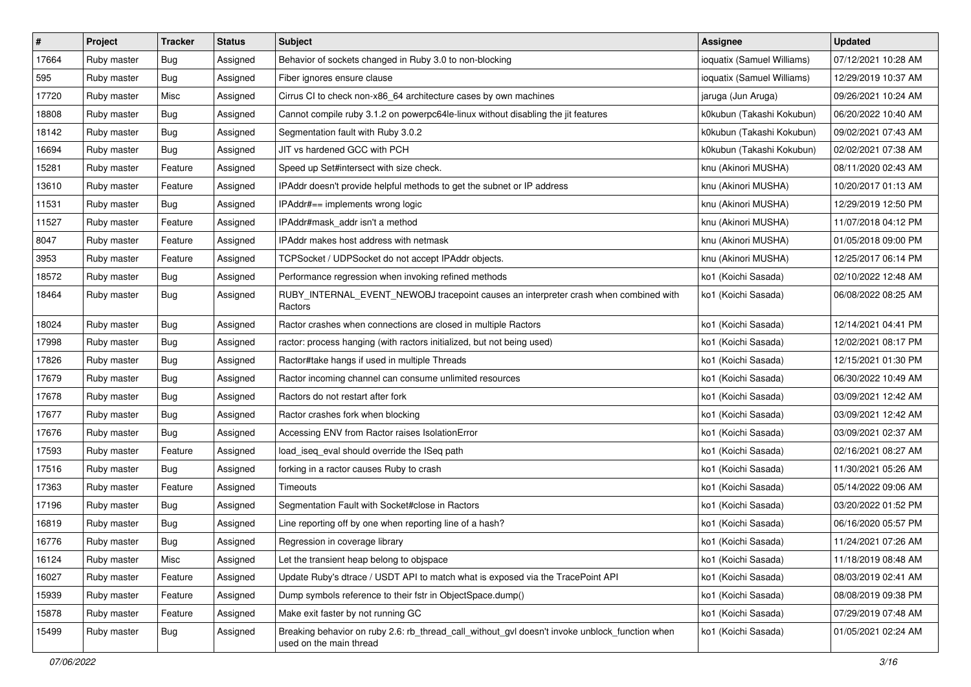| $\sharp$ | Project     | Tracker    | <b>Status</b> | <b>Subject</b>                                                                                                            | <b>Assignee</b>            | <b>Updated</b>      |
|----------|-------------|------------|---------------|---------------------------------------------------------------------------------------------------------------------------|----------------------------|---------------------|
| 17664    | Ruby master | <b>Bug</b> | Assigned      | Behavior of sockets changed in Ruby 3.0 to non-blocking                                                                   | ioquatix (Samuel Williams) | 07/12/2021 10:28 AM |
| 595      | Ruby master | Bug        | Assigned      | Fiber ignores ensure clause                                                                                               | ioquatix (Samuel Williams) | 12/29/2019 10:37 AM |
| 17720    | Ruby master | Misc       | Assigned      | Cirrus CI to check non-x86_64 architecture cases by own machines                                                          | jaruga (Jun Aruga)         | 09/26/2021 10:24 AM |
| 18808    | Ruby master | Bug        | Assigned      | Cannot compile ruby 3.1.2 on powerpc64le-linux without disabling the jit features                                         | k0kubun (Takashi Kokubun)  | 06/20/2022 10:40 AM |
| 18142    | Ruby master | <b>Bug</b> | Assigned      | Segmentation fault with Ruby 3.0.2                                                                                        | k0kubun (Takashi Kokubun)  | 09/02/2021 07:43 AM |
| 16694    | Ruby master | Bug        | Assigned      | JIT vs hardened GCC with PCH                                                                                              | k0kubun (Takashi Kokubun)  | 02/02/2021 07:38 AM |
| 15281    | Ruby master | Feature    | Assigned      | Speed up Set#intersect with size check.                                                                                   | knu (Akinori MUSHA)        | 08/11/2020 02:43 AM |
| 13610    | Ruby master | Feature    | Assigned      | IPAddr doesn't provide helpful methods to get the subnet or IP address                                                    | knu (Akinori MUSHA)        | 10/20/2017 01:13 AM |
| 11531    | Ruby master | Bug        | Assigned      | IPAddr#== implements wrong logic                                                                                          | knu (Akinori MUSHA)        | 12/29/2019 12:50 PM |
| 11527    | Ruby master | Feature    | Assigned      | IPAddr#mask_addr isn't a method                                                                                           | knu (Akinori MUSHA)        | 11/07/2018 04:12 PM |
| 8047     | Ruby master | Feature    | Assigned      | <b>IPAddr makes host address with netmask</b>                                                                             | knu (Akinori MUSHA)        | 01/05/2018 09:00 PM |
| 3953     | Ruby master | Feature    | Assigned      | TCPSocket / UDPSocket do not accept IPAddr objects.                                                                       | knu (Akinori MUSHA)        | 12/25/2017 06:14 PM |
| 18572    | Ruby master | Bug        | Assigned      | Performance regression when invoking refined methods                                                                      | ko1 (Koichi Sasada)        | 02/10/2022 12:48 AM |
| 18464    | Ruby master | Bug        | Assigned      | RUBY_INTERNAL_EVENT_NEWOBJ tracepoint causes an interpreter crash when combined with<br>Ractors                           | ko1 (Koichi Sasada)        | 06/08/2022 08:25 AM |
| 18024    | Ruby master | Bug        | Assigned      | Ractor crashes when connections are closed in multiple Ractors                                                            | ko1 (Koichi Sasada)        | 12/14/2021 04:41 PM |
| 17998    | Ruby master | <b>Bug</b> | Assigned      | ractor: process hanging (with ractors initialized, but not being used)                                                    | ko1 (Koichi Sasada)        | 12/02/2021 08:17 PM |
| 17826    | Ruby master | Bug        | Assigned      | Ractor#take hangs if used in multiple Threads                                                                             | ko1 (Koichi Sasada)        | 12/15/2021 01:30 PM |
| 17679    | Ruby master | Bug        | Assigned      | Ractor incoming channel can consume unlimited resources                                                                   | ko1 (Koichi Sasada)        | 06/30/2022 10:49 AM |
| 17678    | Ruby master | Bug        | Assigned      | Ractors do not restart after fork                                                                                         | ko1 (Koichi Sasada)        | 03/09/2021 12:42 AM |
| 17677    | Ruby master | <b>Bug</b> | Assigned      | Ractor crashes fork when blocking                                                                                         | ko1 (Koichi Sasada)        | 03/09/2021 12:42 AM |
| 17676    | Ruby master | <b>Bug</b> | Assigned      | Accessing ENV from Ractor raises IsolationError                                                                           | ko1 (Koichi Sasada)        | 03/09/2021 02:37 AM |
| 17593    | Ruby master | Feature    | Assigned      | load_iseq_eval should override the ISeq path                                                                              | ko1 (Koichi Sasada)        | 02/16/2021 08:27 AM |
| 17516    | Ruby master | Bug        | Assigned      | forking in a ractor causes Ruby to crash                                                                                  | ko1 (Koichi Sasada)        | 11/30/2021 05:26 AM |
| 17363    | Ruby master | Feature    | Assigned      | Timeouts                                                                                                                  | ko1 (Koichi Sasada)        | 05/14/2022 09:06 AM |
| 17196    | Ruby master | Bug        | Assigned      | Segmentation Fault with Socket#close in Ractors                                                                           | ko1 (Koichi Sasada)        | 03/20/2022 01:52 PM |
| 16819    | Ruby master | <b>Bug</b> | Assigned      | Line reporting off by one when reporting line of a hash?                                                                  | ko1 (Koichi Sasada)        | 06/16/2020 05:57 PM |
| 16776    | Ruby master | <b>Bug</b> | Assigned      | Regression in coverage library                                                                                            | ko1 (Koichi Sasada)        | 11/24/2021 07:26 AM |
| 16124    | Ruby master | Misc       | Assigned      | Let the transient heap belong to obispace                                                                                 | ko1 (Koichi Sasada)        | 11/18/2019 08:48 AM |
| 16027    | Ruby master | Feature    | Assigned      | Update Ruby's dtrace / USDT API to match what is exposed via the TracePoint API                                           | ko1 (Koichi Sasada)        | 08/03/2019 02:41 AM |
| 15939    | Ruby master | Feature    | Assigned      | Dump symbols reference to their fstr in ObjectSpace.dump()                                                                | ko1 (Koichi Sasada)        | 08/08/2019 09:38 PM |
| 15878    | Ruby master | Feature    | Assigned      | Make exit faster by not running GC                                                                                        | ko1 (Koichi Sasada)        | 07/29/2019 07:48 AM |
| 15499    | Ruby master | <b>Bug</b> | Assigned      | Breaking behavior on ruby 2.6: rb_thread_call_without_gvl doesn't invoke unblock_function when<br>used on the main thread | ko1 (Koichi Sasada)        | 01/05/2021 02:24 AM |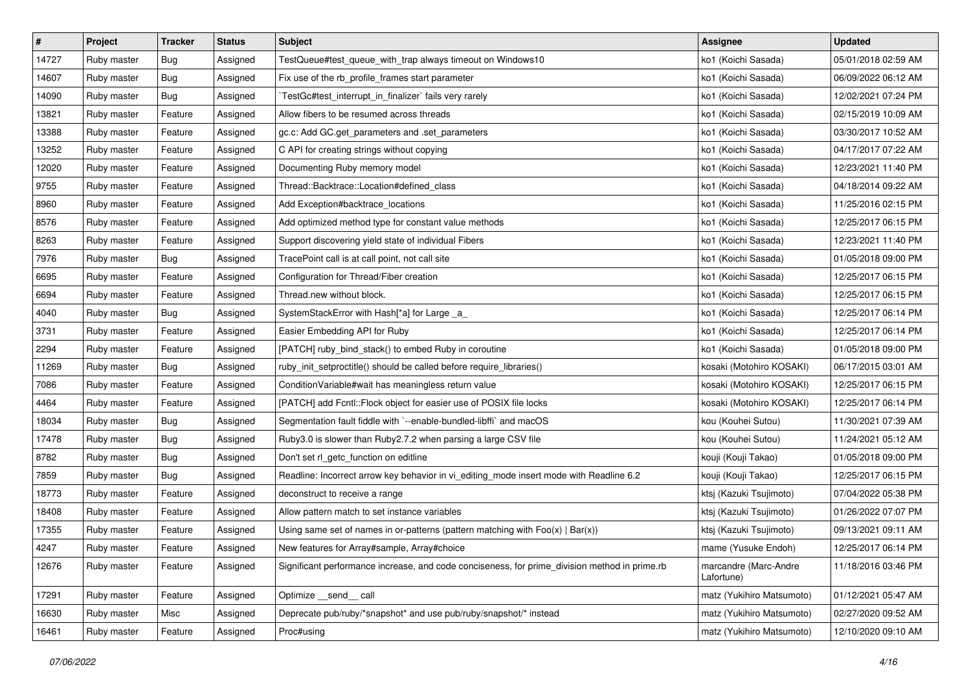| $\vert$ # | Project     | <b>Tracker</b> | <b>Status</b> | <b>Subject</b>                                                                                | Assignee                            | <b>Updated</b>      |
|-----------|-------------|----------------|---------------|-----------------------------------------------------------------------------------------------|-------------------------------------|---------------------|
| 14727     | Ruby master | <b>Bug</b>     | Assigned      | TestQueue#test_queue_with_trap always timeout on Windows10                                    | ko1 (Koichi Sasada)                 | 05/01/2018 02:59 AM |
| 14607     | Ruby master | Bug            | Assigned      | Fix use of the rb_profile_frames start parameter                                              | ko1 (Koichi Sasada)                 | 06/09/2022 06:12 AM |
| 14090     | Ruby master | <b>Bug</b>     | Assigned      | TestGc#test_interrupt_in_finalizer` fails very rarely                                         | ko1 (Koichi Sasada)                 | 12/02/2021 07:24 PM |
| 13821     | Ruby master | Feature        | Assigned      | Allow fibers to be resumed across threads                                                     | ko1 (Koichi Sasada)                 | 02/15/2019 10:09 AM |
| 13388     | Ruby master | Feature        | Assigned      | gc.c: Add GC.get_parameters and .set_parameters                                               | ko1 (Koichi Sasada)                 | 03/30/2017 10:52 AM |
| 13252     | Ruby master | Feature        | Assigned      | C API for creating strings without copying                                                    | ko1 (Koichi Sasada)                 | 04/17/2017 07:22 AM |
| 12020     | Ruby master | Feature        | Assigned      | Documenting Ruby memory model                                                                 | ko1 (Koichi Sasada)                 | 12/23/2021 11:40 PM |
| 9755      | Ruby master | Feature        | Assigned      | Thread::Backtrace::Location#defined class                                                     | ko1 (Koichi Sasada)                 | 04/18/2014 09:22 AM |
| 8960      | Ruby master | Feature        | Assigned      | Add Exception#backtrace_locations                                                             | ko1 (Koichi Sasada)                 | 11/25/2016 02:15 PM |
| 8576      | Ruby master | Feature        | Assigned      | Add optimized method type for constant value methods                                          | ko1 (Koichi Sasada)                 | 12/25/2017 06:15 PM |
| 8263      | Ruby master | Feature        | Assigned      | Support discovering yield state of individual Fibers                                          | ko1 (Koichi Sasada)                 | 12/23/2021 11:40 PM |
| 7976      | Ruby master | <b>Bug</b>     | Assigned      | TracePoint call is at call point, not call site                                               | ko1 (Koichi Sasada)                 | 01/05/2018 09:00 PM |
| 6695      | Ruby master | Feature        | Assigned      | Configuration for Thread/Fiber creation                                                       | ko1 (Koichi Sasada)                 | 12/25/2017 06:15 PM |
| 6694      | Ruby master | Feature        | Assigned      | Thread.new without block.                                                                     | ko1 (Koichi Sasada)                 | 12/25/2017 06:15 PM |
| 4040      | Ruby master | Bug            | Assigned      | SystemStackError with Hash[*a] for Large _a_                                                  | ko1 (Koichi Sasada)                 | 12/25/2017 06:14 PM |
| 3731      | Ruby master | Feature        | Assigned      | Easier Embedding API for Ruby                                                                 | ko1 (Koichi Sasada)                 | 12/25/2017 06:14 PM |
| 2294      | Ruby master | Feature        | Assigned      | [PATCH] ruby_bind_stack() to embed Ruby in coroutine                                          | ko1 (Koichi Sasada)                 | 01/05/2018 09:00 PM |
| 11269     | Ruby master | Bug            | Assigned      | ruby_init_setproctitle() should be called before require_libraries()                          | kosaki (Motohiro KOSAKI)            | 06/17/2015 03:01 AM |
| 7086      | Ruby master | Feature        | Assigned      | ConditionVariable#wait has meaningless return value                                           | kosaki (Motohiro KOSAKI)            | 12/25/2017 06:15 PM |
| 4464      | Ruby master | Feature        | Assigned      | [PATCH] add Fcntl:: Flock object for easier use of POSIX file locks                           | kosaki (Motohiro KOSAKI)            | 12/25/2017 06:14 PM |
| 18034     | Ruby master | Bug            | Assigned      | Segmentation fault fiddle with `--enable-bundled-libffi` and macOS                            | kou (Kouhei Sutou)                  | 11/30/2021 07:39 AM |
| 17478     | Ruby master | <b>Bug</b>     | Assigned      | Ruby3.0 is slower than Ruby2.7.2 when parsing a large CSV file                                | kou (Kouhei Sutou)                  | 11/24/2021 05:12 AM |
| 8782      | Ruby master | Bug            | Assigned      | Don't set rl_getc_function on editline                                                        | kouji (Kouji Takao)                 | 01/05/2018 09:00 PM |
| 7859      | Ruby master | Bug            | Assigned      | Readline: Incorrect arrow key behavior in vi_editing_mode insert mode with Readline 6.2       | kouji (Kouji Takao)                 | 12/25/2017 06:15 PM |
| 18773     | Ruby master | Feature        | Assigned      | deconstruct to receive a range                                                                | ktsj (Kazuki Tsujimoto)             | 07/04/2022 05:38 PM |
| 18408     | Ruby master | Feature        | Assigned      | Allow pattern match to set instance variables                                                 | ktsj (Kazuki Tsujimoto)             | 01/26/2022 07:07 PM |
| 17355     | Ruby master | Feature        | Assigned      | Using same set of names in or-patterns (pattern matching with $Foo(x)   Bar(x)$ )             | ktsj (Kazuki Tsujimoto)             | 09/13/2021 09:11 AM |
| 4247      | Ruby master | Feature        | Assigned      | New features for Array#sample, Array#choice                                                   | mame (Yusuke Endoh)                 | 12/25/2017 06:14 PM |
| 12676     | Ruby master | Feature        | Assigned      | Significant performance increase, and code conciseness, for prime_division method in prime.rb | marcandre (Marc-Andre<br>Lafortune) | 11/18/2016 03:46 PM |
| 17291     | Ruby master | Feature        | Assigned      | Optimize __send__ call                                                                        | matz (Yukihiro Matsumoto)           | 01/12/2021 05:47 AM |
| 16630     | Ruby master | Misc           | Assigned      | Deprecate pub/ruby/*snapshot* and use pub/ruby/snapshot/* instead                             | matz (Yukihiro Matsumoto)           | 02/27/2020 09:52 AM |
| 16461     | Ruby master | Feature        | Assigned      | Proc#using                                                                                    | matz (Yukihiro Matsumoto)           | 12/10/2020 09:10 AM |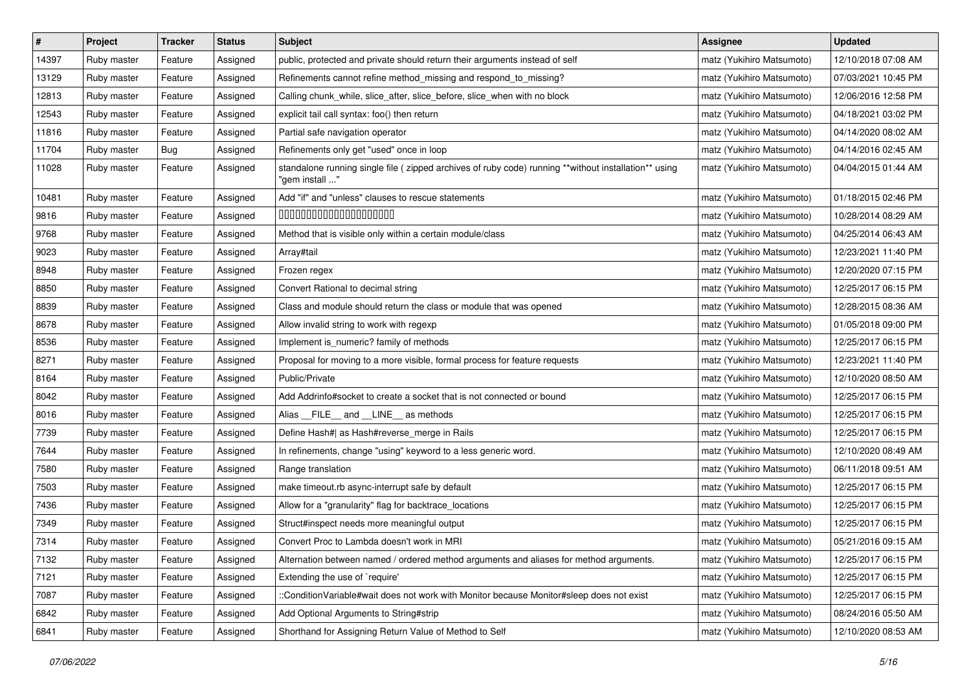| $\sharp$ | Project     | <b>Tracker</b> | <b>Status</b> | <b>Subject</b>                                                                                                          | <b>Assignee</b>           | <b>Updated</b>      |
|----------|-------------|----------------|---------------|-------------------------------------------------------------------------------------------------------------------------|---------------------------|---------------------|
| 14397    | Ruby master | Feature        | Assigned      | public, protected and private should return their arguments instead of self                                             | matz (Yukihiro Matsumoto) | 12/10/2018 07:08 AM |
| 13129    | Ruby master | Feature        | Assigned      | Refinements cannot refine method_missing and respond_to_missing?                                                        | matz (Yukihiro Matsumoto) | 07/03/2021 10:45 PM |
| 12813    | Ruby master | Feature        | Assigned      | Calling chunk_while, slice_after, slice_before, slice_when with no block                                                | matz (Yukihiro Matsumoto) | 12/06/2016 12:58 PM |
| 12543    | Ruby master | Feature        | Assigned      | explicit tail call syntax: foo() then return                                                                            | matz (Yukihiro Matsumoto) | 04/18/2021 03:02 PM |
| 11816    | Ruby master | Feature        | Assigned      | Partial safe navigation operator                                                                                        | matz (Yukihiro Matsumoto) | 04/14/2020 08:02 AM |
| 11704    | Ruby master | Bug            | Assigned      | Refinements only get "used" once in loop                                                                                | matz (Yukihiro Matsumoto) | 04/14/2016 02:45 AM |
| 11028    | Ruby master | Feature        | Assigned      | standalone running single file ( zipped archives of ruby code) running **without installation** using<br>"gem install " | matz (Yukihiro Matsumoto) | 04/04/2015 01:44 AM |
| 10481    | Ruby master | Feature        | Assigned      | Add "if" and "unless" clauses to rescue statements                                                                      | matz (Yukihiro Matsumoto) | 01/18/2015 02:46 PM |
| 9816     | Ruby master | Feature        | Assigned      | 00000000000000000000                                                                                                    | matz (Yukihiro Matsumoto) | 10/28/2014 08:29 AM |
| 9768     | Ruby master | Feature        | Assigned      | Method that is visible only within a certain module/class                                                               | matz (Yukihiro Matsumoto) | 04/25/2014 06:43 AM |
| 9023     | Ruby master | Feature        | Assigned      | Array#tail                                                                                                              | matz (Yukihiro Matsumoto) | 12/23/2021 11:40 PM |
| 8948     | Ruby master | Feature        | Assigned      | Frozen regex                                                                                                            | matz (Yukihiro Matsumoto) | 12/20/2020 07:15 PM |
| 8850     | Ruby master | Feature        | Assigned      | Convert Rational to decimal string                                                                                      | matz (Yukihiro Matsumoto) | 12/25/2017 06:15 PM |
| 8839     | Ruby master | Feature        | Assigned      | Class and module should return the class or module that was opened                                                      | matz (Yukihiro Matsumoto) | 12/28/2015 08:36 AM |
| 8678     | Ruby master | Feature        | Assigned      | Allow invalid string to work with regexp                                                                                | matz (Yukihiro Matsumoto) | 01/05/2018 09:00 PM |
| 8536     | Ruby master | Feature        | Assigned      | Implement is_numeric? family of methods                                                                                 | matz (Yukihiro Matsumoto) | 12/25/2017 06:15 PM |
| 8271     | Ruby master | Feature        | Assigned      | Proposal for moving to a more visible, formal process for feature requests                                              | matz (Yukihiro Matsumoto) | 12/23/2021 11:40 PM |
| 8164     | Ruby master | Feature        | Assigned      | Public/Private                                                                                                          | matz (Yukihiro Matsumoto) | 12/10/2020 08:50 AM |
| 8042     | Ruby master | Feature        | Assigned      | Add Addrinfo#socket to create a socket that is not connected or bound                                                   | matz (Yukihiro Matsumoto) | 12/25/2017 06:15 PM |
| 8016     | Ruby master | Feature        | Assigned      | Alias FILE and LINE as methods                                                                                          | matz (Yukihiro Matsumoto) | 12/25/2017 06:15 PM |
| 7739     | Ruby master | Feature        | Assigned      | Define Hash#  as Hash#reverse_merge in Rails                                                                            | matz (Yukihiro Matsumoto) | 12/25/2017 06:15 PM |
| 7644     | Ruby master | Feature        | Assigned      | In refinements, change "using" keyword to a less generic word.                                                          | matz (Yukihiro Matsumoto) | 12/10/2020 08:49 AM |
| 7580     | Ruby master | Feature        | Assigned      | Range translation                                                                                                       | matz (Yukihiro Matsumoto) | 06/11/2018 09:51 AM |
| 7503     | Ruby master | Feature        | Assigned      | make timeout.rb async-interrupt safe by default                                                                         | matz (Yukihiro Matsumoto) | 12/25/2017 06:15 PM |
| 7436     | Ruby master | Feature        | Assigned      | Allow for a "granularity" flag for backtrace_locations                                                                  | matz (Yukihiro Matsumoto) | 12/25/2017 06:15 PM |
| 7349     | Ruby master | Feature        | Assigned      | Struct#inspect needs more meaningful output                                                                             | matz (Yukihiro Matsumoto) | 12/25/2017 06:15 PM |
| 7314     | Ruby master | Feature        | Assigned      | Convert Proc to Lambda doesn't work in MRI                                                                              | matz (Yukihiro Matsumoto) | 05/21/2016 09:15 AM |
| 7132     | Ruby master | Feature        | Assigned      | Alternation between named / ordered method arguments and aliases for method arguments.                                  | matz (Yukihiro Matsumoto) | 12/25/2017 06:15 PM |
| 7121     | Ruby master | Feature        | Assigned      | Extending the use of `require'                                                                                          | matz (Yukihiro Matsumoto) | 12/25/2017 06:15 PM |
| 7087     | Ruby master | Feature        | Assigned      | ::ConditionVariable#wait does not work with Monitor because Monitor#sleep does not exist                                | matz (Yukihiro Matsumoto) | 12/25/2017 06:15 PM |
| 6842     | Ruby master | Feature        | Assigned      | Add Optional Arguments to String#strip                                                                                  | matz (Yukihiro Matsumoto) | 08/24/2016 05:50 AM |
| 6841     | Ruby master | Feature        | Assigned      | Shorthand for Assigning Return Value of Method to Self                                                                  | matz (Yukihiro Matsumoto) | 12/10/2020 08:53 AM |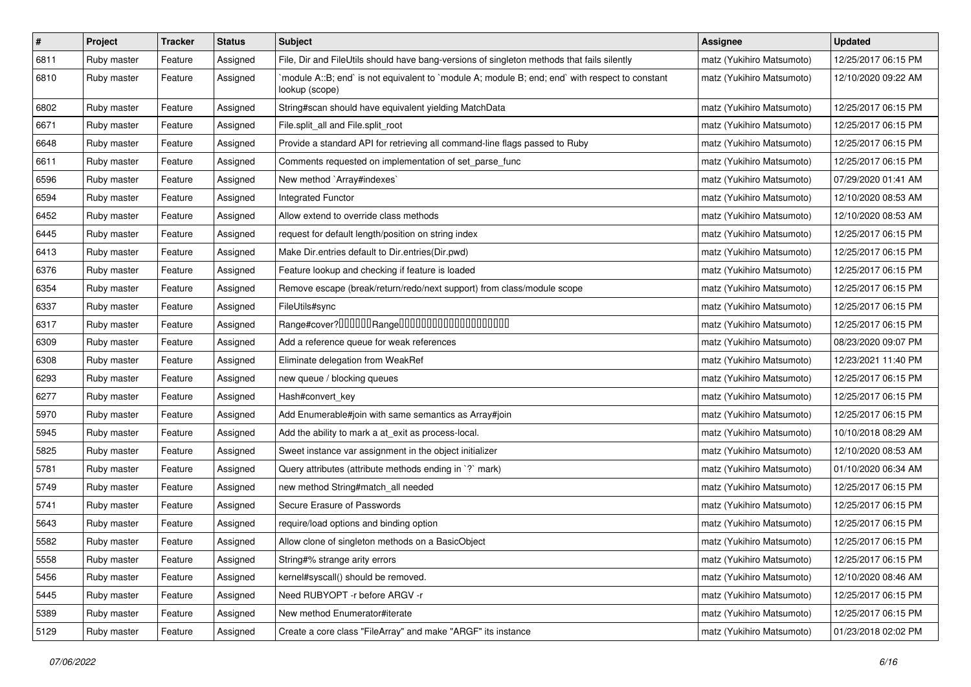| $\#$ | Project     | <b>Tracker</b> | <b>Status</b> | Subject                                                                                                          | <b>Assignee</b>           | <b>Updated</b>      |
|------|-------------|----------------|---------------|------------------------------------------------------------------------------------------------------------------|---------------------------|---------------------|
| 6811 | Ruby master | Feature        | Assigned      | File, Dir and FileUtils should have bang-versions of singleton methods that fails silently                       | matz (Yukihiro Matsumoto) | 12/25/2017 06:15 PM |
| 6810 | Ruby master | Feature        | Assigned      | module A::B; end` is not equivalent to `module A; module B; end; end` with respect to constant<br>lookup (scope) | matz (Yukihiro Matsumoto) | 12/10/2020 09:22 AM |
| 6802 | Ruby master | Feature        | Assigned      | String#scan should have equivalent yielding MatchData                                                            | matz (Yukihiro Matsumoto) | 12/25/2017 06:15 PM |
| 6671 | Ruby master | Feature        | Assigned      | File.split_all and File.split_root                                                                               | matz (Yukihiro Matsumoto) | 12/25/2017 06:15 PM |
| 6648 | Ruby master | Feature        | Assigned      | Provide a standard API for retrieving all command-line flags passed to Ruby                                      | matz (Yukihiro Matsumoto) | 12/25/2017 06:15 PM |
| 6611 | Ruby master | Feature        | Assigned      | Comments requested on implementation of set_parse_func                                                           | matz (Yukihiro Matsumoto) | 12/25/2017 06:15 PM |
| 6596 | Ruby master | Feature        | Assigned      | New method `Array#indexes`                                                                                       | matz (Yukihiro Matsumoto) | 07/29/2020 01:41 AM |
| 6594 | Ruby master | Feature        | Assigned      | Integrated Functor                                                                                               | matz (Yukihiro Matsumoto) | 12/10/2020 08:53 AM |
| 6452 | Ruby master | Feature        | Assigned      | Allow extend to override class methods                                                                           | matz (Yukihiro Matsumoto) | 12/10/2020 08:53 AM |
| 6445 | Ruby master | Feature        | Assigned      | request for default length/position on string index                                                              | matz (Yukihiro Matsumoto) | 12/25/2017 06:15 PM |
| 6413 | Ruby master | Feature        | Assigned      | Make Dir.entries default to Dir.entries(Dir.pwd)                                                                 | matz (Yukihiro Matsumoto) | 12/25/2017 06:15 PM |
| 6376 | Ruby master | Feature        | Assigned      | Feature lookup and checking if feature is loaded                                                                 | matz (Yukihiro Matsumoto) | 12/25/2017 06:15 PM |
| 6354 | Ruby master | Feature        | Assigned      | Remove escape (break/return/redo/next support) from class/module scope                                           | matz (Yukihiro Matsumoto) | 12/25/2017 06:15 PM |
| 6337 | Ruby master | Feature        | Assigned      | FileUtils#sync                                                                                                   | matz (Yukihiro Matsumoto) | 12/25/2017 06:15 PM |
| 6317 | Ruby master | Feature        | Assigned      | Range#cover?000000Range00000000000000000000                                                                      | matz (Yukihiro Matsumoto) | 12/25/2017 06:15 PM |
| 6309 | Ruby master | Feature        | Assigned      | Add a reference queue for weak references                                                                        | matz (Yukihiro Matsumoto) | 08/23/2020 09:07 PM |
| 6308 | Ruby master | Feature        | Assigned      | Eliminate delegation from WeakRef                                                                                | matz (Yukihiro Matsumoto) | 12/23/2021 11:40 PM |
| 6293 | Ruby master | Feature        | Assigned      | new queue / blocking queues                                                                                      | matz (Yukihiro Matsumoto) | 12/25/2017 06:15 PM |
| 6277 | Ruby master | Feature        | Assigned      | Hash#convert_key                                                                                                 | matz (Yukihiro Matsumoto) | 12/25/2017 06:15 PM |
| 5970 | Ruby master | Feature        | Assigned      | Add Enumerable#join with same semantics as Array#join                                                            | matz (Yukihiro Matsumoto) | 12/25/2017 06:15 PM |
| 5945 | Ruby master | Feature        | Assigned      | Add the ability to mark a at_exit as process-local.                                                              | matz (Yukihiro Matsumoto) | 10/10/2018 08:29 AM |
| 5825 | Ruby master | Feature        | Assigned      | Sweet instance var assignment in the object initializer                                                          | matz (Yukihiro Matsumoto) | 12/10/2020 08:53 AM |
| 5781 | Ruby master | Feature        | Assigned      | Query attributes (attribute methods ending in `?` mark)                                                          | matz (Yukihiro Matsumoto) | 01/10/2020 06:34 AM |
| 5749 | Ruby master | Feature        | Assigned      | new method String#match_all needed                                                                               | matz (Yukihiro Matsumoto) | 12/25/2017 06:15 PM |
| 5741 | Ruby master | Feature        | Assigned      | Secure Erasure of Passwords                                                                                      | matz (Yukihiro Matsumoto) | 12/25/2017 06:15 PM |
| 5643 | Ruby master | Feature        | Assigned      | require/load options and binding option                                                                          | matz (Yukihiro Matsumoto) | 12/25/2017 06:15 PM |
| 5582 | Ruby master | Feature        | Assigned      | Allow clone of singleton methods on a BasicObject                                                                | matz (Yukihiro Matsumoto) | 12/25/2017 06:15 PM |
| 5558 | Ruby master | Feature        | Assigned      | String#% strange arity errors                                                                                    | matz (Yukihiro Matsumoto) | 12/25/2017 06:15 PM |
| 5456 | Ruby master | Feature        | Assigned      | kernel#syscall() should be removed.                                                                              | matz (Yukihiro Matsumoto) | 12/10/2020 08:46 AM |
| 5445 | Ruby master | Feature        | Assigned      | Need RUBYOPT -r before ARGV -r                                                                                   | matz (Yukihiro Matsumoto) | 12/25/2017 06:15 PM |
| 5389 | Ruby master | Feature        | Assigned      | New method Enumerator#iterate                                                                                    | matz (Yukihiro Matsumoto) | 12/25/2017 06:15 PM |
| 5129 | Ruby master | Feature        | Assigned      | Create a core class "FileArray" and make "ARGF" its instance                                                     | matz (Yukihiro Matsumoto) | 01/23/2018 02:02 PM |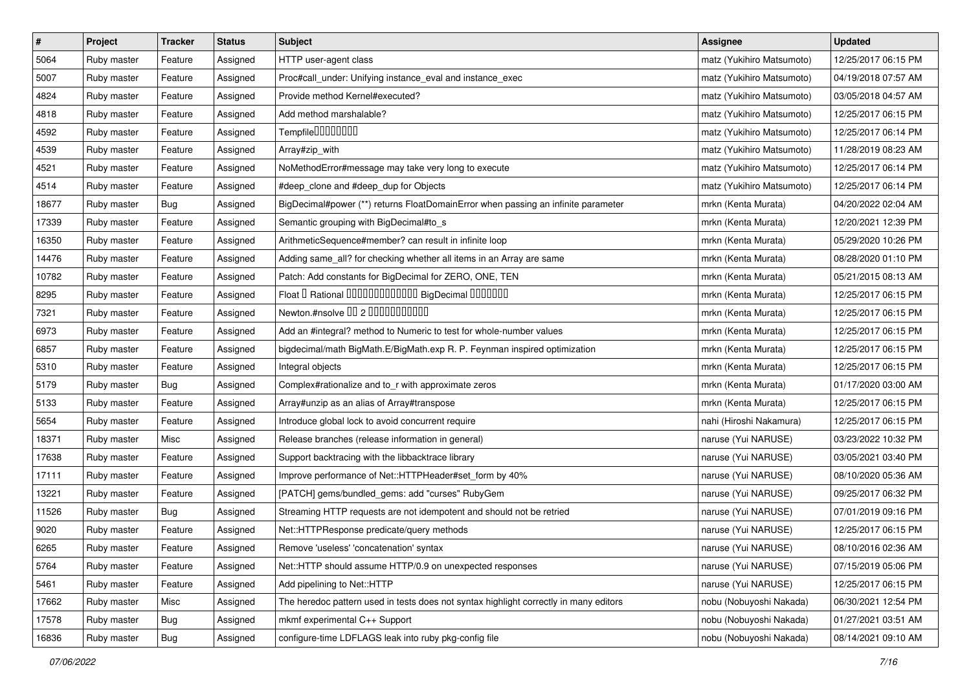| $\pmb{\#}$ | Project     | <b>Tracker</b> | <b>Status</b> | <b>Subject</b>                                                                        | <b>Assignee</b>           | <b>Updated</b>      |
|------------|-------------|----------------|---------------|---------------------------------------------------------------------------------------|---------------------------|---------------------|
| 5064       | Ruby master | Feature        | Assigned      | HTTP user-agent class                                                                 | matz (Yukihiro Matsumoto) | 12/25/2017 06:15 PM |
| 5007       | Ruby master | Feature        | Assigned      | Proc#call_under: Unifying instance_eval and instance_exec                             | matz (Yukihiro Matsumoto) | 04/19/2018 07:57 AM |
| 4824       | Ruby master | Feature        | Assigned      | Provide method Kernel#executed?                                                       | matz (Yukihiro Matsumoto) | 03/05/2018 04:57 AM |
| 4818       | Ruby master | Feature        | Assigned      | Add method marshalable?                                                               | matz (Yukihiro Matsumoto) | 12/25/2017 06:15 PM |
| 4592       | Ruby master | Feature        | Assigned      | Tempfile0000000                                                                       | matz (Yukihiro Matsumoto) | 12/25/2017 06:14 PM |
| 4539       | Ruby master | Feature        | Assigned      | Array#zip_with                                                                        | matz (Yukihiro Matsumoto) | 11/28/2019 08:23 AM |
| 4521       | Ruby master | Feature        | Assigned      | NoMethodError#message may take very long to execute                                   | matz (Yukihiro Matsumoto) | 12/25/2017 06:14 PM |
| 4514       | Ruby master | Feature        | Assigned      | #deep_clone and #deep_dup for Objects                                                 | matz (Yukihiro Matsumoto) | 12/25/2017 06:14 PM |
| 18677      | Ruby master | Bug            | Assigned      | BigDecimal#power (**) returns FloatDomainError when passing an infinite parameter     | mrkn (Kenta Murata)       | 04/20/2022 02:04 AM |
| 17339      | Ruby master | Feature        | Assigned      | Semantic grouping with BigDecimal#to_s                                                | mrkn (Kenta Murata)       | 12/20/2021 12:39 PM |
| 16350      | Ruby master | Feature        | Assigned      | ArithmeticSequence#member? can result in infinite loop                                | mrkn (Kenta Murata)       | 05/29/2020 10:26 PM |
| 14476      | Ruby master | Feature        | Assigned      | Adding same_all? for checking whether all items in an Array are same                  | mrkn (Kenta Murata)       | 08/28/2020 01:10 PM |
| 10782      | Ruby master | Feature        | Assigned      | Patch: Add constants for BigDecimal for ZERO, ONE, TEN                                | mrkn (Kenta Murata)       | 05/21/2015 08:13 AM |
| 8295       | Ruby master | Feature        | Assigned      | Float I Rational 0000000000000 BigDecimal 0000000                                     | mrkn (Kenta Murata)       | 12/25/2017 06:15 PM |
| 7321       | Ruby master | Feature        | Assigned      | Newton.#nsolve 00 2 0000000000                                                        | mrkn (Kenta Murata)       | 12/25/2017 06:15 PM |
| 6973       | Ruby master | Feature        | Assigned      | Add an #integral? method to Numeric to test for whole-number values                   | mrkn (Kenta Murata)       | 12/25/2017 06:15 PM |
| 6857       | Ruby master | Feature        | Assigned      | bigdecimal/math BigMath.E/BigMath.exp R. P. Feynman inspired optimization             | mrkn (Kenta Murata)       | 12/25/2017 06:15 PM |
| 5310       | Ruby master | Feature        | Assigned      | Integral objects                                                                      | mrkn (Kenta Murata)       | 12/25/2017 06:15 PM |
| 5179       | Ruby master | Bug            | Assigned      | Complex#rationalize and to_r with approximate zeros                                   | mrkn (Kenta Murata)       | 01/17/2020 03:00 AM |
| 5133       | Ruby master | Feature        | Assigned      | Array#unzip as an alias of Array#transpose                                            | mrkn (Kenta Murata)       | 12/25/2017 06:15 PM |
| 5654       | Ruby master | Feature        | Assigned      | Introduce global lock to avoid concurrent require                                     | nahi (Hiroshi Nakamura)   | 12/25/2017 06:15 PM |
| 18371      | Ruby master | Misc           | Assigned      | Release branches (release information in general)                                     | naruse (Yui NARUSE)       | 03/23/2022 10:32 PM |
| 17638      | Ruby master | Feature        | Assigned      | Support backtracing with the libbacktrace library                                     | naruse (Yui NARUSE)       | 03/05/2021 03:40 PM |
| 17111      | Ruby master | Feature        | Assigned      | Improve performance of Net::HTTPHeader#set_form by 40%                                | naruse (Yui NARUSE)       | 08/10/2020 05:36 AM |
| 13221      | Ruby master | Feature        | Assigned      | [PATCH] gems/bundled_gems: add "curses" RubyGem                                       | naruse (Yui NARUSE)       | 09/25/2017 06:32 PM |
| 11526      | Ruby master | Bug            | Assigned      | Streaming HTTP requests are not idempotent and should not be retried                  | naruse (Yui NARUSE)       | 07/01/2019 09:16 PM |
| 9020       | Ruby master | Feature        | Assigned      | Net::HTTPResponse predicate/query methods                                             | naruse (Yui NARUSE)       | 12/25/2017 06:15 PM |
| 6265       | Ruby master | Feature        | Assigned      | Remove 'useless' 'concatenation' syntax                                               | naruse (Yui NARUSE)       | 08/10/2016 02:36 AM |
| 5764       | Ruby master | Feature        | Assigned      | Net::HTTP should assume HTTP/0.9 on unexpected responses                              | naruse (Yui NARUSE)       | 07/15/2019 05:06 PM |
| 5461       | Ruby master | Feature        | Assigned      | Add pipelining to Net::HTTP                                                           | naruse (Yui NARUSE)       | 12/25/2017 06:15 PM |
| 17662      | Ruby master | Misc           | Assigned      | The heredoc pattern used in tests does not syntax highlight correctly in many editors | nobu (Nobuyoshi Nakada)   | 06/30/2021 12:54 PM |
| 17578      | Ruby master | <b>Bug</b>     | Assigned      | mkmf experimental C++ Support                                                         | nobu (Nobuyoshi Nakada)   | 01/27/2021 03:51 AM |
| 16836      | Ruby master | <b>Bug</b>     | Assigned      | configure-time LDFLAGS leak into ruby pkg-config file                                 | nobu (Nobuyoshi Nakada)   | 08/14/2021 09:10 AM |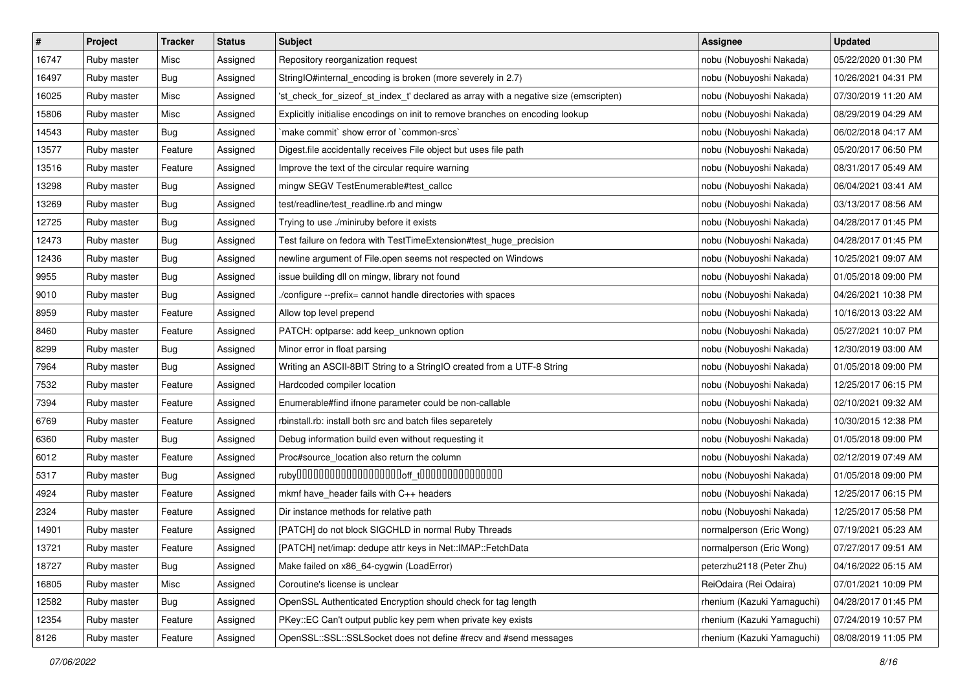| $\pmb{\#}$ | Project     | <b>Tracker</b> | <b>Status</b> | <b>Subject</b>                                                                       | <b>Assignee</b>            | <b>Updated</b>      |
|------------|-------------|----------------|---------------|--------------------------------------------------------------------------------------|----------------------------|---------------------|
| 16747      | Ruby master | Misc           | Assigned      | Repository reorganization request                                                    | nobu (Nobuyoshi Nakada)    | 05/22/2020 01:30 PM |
| 16497      | Ruby master | Bug            | Assigned      | StringIO#internal_encoding is broken (more severely in 2.7)                          | nobu (Nobuyoshi Nakada)    | 10/26/2021 04:31 PM |
| 16025      | Ruby master | Misc           | Assigned      | 'st check for sizeof st index t' declared as array with a negative size (emscripten) | nobu (Nobuyoshi Nakada)    | 07/30/2019 11:20 AM |
| 15806      | Ruby master | Misc           | Assigned      | Explicitly initialise encodings on init to remove branches on encoding lookup        | nobu (Nobuyoshi Nakada)    | 08/29/2019 04:29 AM |
| 14543      | Ruby master | Bug            | Assigned      | `make commit` show error of `common-srcs`                                            | nobu (Nobuyoshi Nakada)    | 06/02/2018 04:17 AM |
| 13577      | Ruby master | Feature        | Assigned      | Digest file accidentally receives File object but uses file path                     | nobu (Nobuyoshi Nakada)    | 05/20/2017 06:50 PM |
| 13516      | Ruby master | Feature        | Assigned      | Improve the text of the circular require warning                                     | nobu (Nobuyoshi Nakada)    | 08/31/2017 05:49 AM |
| 13298      | Ruby master | Bug            | Assigned      | mingw SEGV TestEnumerable#test_callcc                                                | nobu (Nobuyoshi Nakada)    | 06/04/2021 03:41 AM |
| 13269      | Ruby master | <b>Bug</b>     | Assigned      | test/readline/test_readline.rb and mingw                                             | nobu (Nobuyoshi Nakada)    | 03/13/2017 08:56 AM |
| 12725      | Ruby master | Bug            | Assigned      | Trying to use ./miniruby before it exists                                            | nobu (Nobuyoshi Nakada)    | 04/28/2017 01:45 PM |
| 12473      | Ruby master | <b>Bug</b>     | Assigned      | Test failure on fedora with TestTimeExtension#test_huge_precision                    | nobu (Nobuyoshi Nakada)    | 04/28/2017 01:45 PM |
| 12436      | Ruby master | Bug            | Assigned      | newline argument of File.open seems not respected on Windows                         | nobu (Nobuyoshi Nakada)    | 10/25/2021 09:07 AM |
| 9955       | Ruby master | <b>Bug</b>     | Assigned      | issue building dll on mingw, library not found                                       | nobu (Nobuyoshi Nakada)    | 01/05/2018 09:00 PM |
| 9010       | Ruby master | <b>Bug</b>     | Assigned      | ./configure --prefix= cannot handle directories with spaces                          | nobu (Nobuyoshi Nakada)    | 04/26/2021 10:38 PM |
| 8959       | Ruby master | Feature        | Assigned      | Allow top level prepend                                                              | nobu (Nobuyoshi Nakada)    | 10/16/2013 03:22 AM |
| 8460       | Ruby master | Feature        | Assigned      | PATCH: optparse: add keep_unknown option                                             | nobu (Nobuyoshi Nakada)    | 05/27/2021 10:07 PM |
| 8299       | Ruby master | Bug            | Assigned      | Minor error in float parsing                                                         | nobu (Nobuyoshi Nakada)    | 12/30/2019 03:00 AM |
| 7964       | Ruby master | Bug            | Assigned      | Writing an ASCII-8BIT String to a StringIO created from a UTF-8 String               | nobu (Nobuyoshi Nakada)    | 01/05/2018 09:00 PM |
| 7532       | Ruby master | Feature        | Assigned      | Hardcoded compiler location                                                          | nobu (Nobuyoshi Nakada)    | 12/25/2017 06:15 PM |
| 7394       | Ruby master | Feature        | Assigned      | Enumerable#find ifnone parameter could be non-callable                               | nobu (Nobuyoshi Nakada)    | 02/10/2021 09:32 AM |
| 6769       | Ruby master | Feature        | Assigned      | rbinstall.rb: install both src and batch files separetely                            | nobu (Nobuyoshi Nakada)    | 10/30/2015 12:38 PM |
| 6360       | Ruby master | Bug            | Assigned      | Debug information build even without requesting it                                   | nobu (Nobuyoshi Nakada)    | 01/05/2018 09:00 PM |
| 6012       | Ruby master | Feature        | Assigned      | Proc#source_location also return the column                                          | nobu (Nobuyoshi Nakada)    | 02/12/2019 07:49 AM |
| 5317       | Ruby master | <b>Bug</b>     | Assigned      |                                                                                      | nobu (Nobuyoshi Nakada)    | 01/05/2018 09:00 PM |
| 4924       | Ruby master | Feature        | Assigned      | mkmf have_header fails with C++ headers                                              | nobu (Nobuyoshi Nakada)    | 12/25/2017 06:15 PM |
| 2324       | Ruby master | Feature        | Assigned      | Dir instance methods for relative path                                               | nobu (Nobuyoshi Nakada)    | 12/25/2017 05:58 PM |
| 14901      | Ruby master | Feature        | Assigned      | [PATCH] do not block SIGCHLD in normal Ruby Threads                                  | normalperson (Eric Wong)   | 07/19/2021 05:23 AM |
| 13721      | Ruby master | Feature        | Assigned      | [PATCH] net/imap: dedupe attr keys in Net::IMAP::FetchData                           | normalperson (Eric Wong)   | 07/27/2017 09:51 AM |
| 18727      | Ruby master | <b>Bug</b>     | Assigned      | Make failed on x86_64-cygwin (LoadError)                                             | peterzhu2118 (Peter Zhu)   | 04/16/2022 05:15 AM |
| 16805      | Ruby master | Misc           | Assigned      | Coroutine's license is unclear                                                       | ReiOdaira (Rei Odaira)     | 07/01/2021 10:09 PM |
| 12582      | Ruby master | Bug            | Assigned      | OpenSSL Authenticated Encryption should check for tag length                         | rhenium (Kazuki Yamaguchi) | 04/28/2017 01:45 PM |
| 12354      | Ruby master | Feature        | Assigned      | PKey::EC Can't output public key pem when private key exists                         | rhenium (Kazuki Yamaguchi) | 07/24/2019 10:57 PM |
| 8126       | Ruby master | Feature        | Assigned      | OpenSSL::SSL::SSLSocket does not define #recv and #send messages                     | rhenium (Kazuki Yamaguchi) | 08/08/2019 11:05 PM |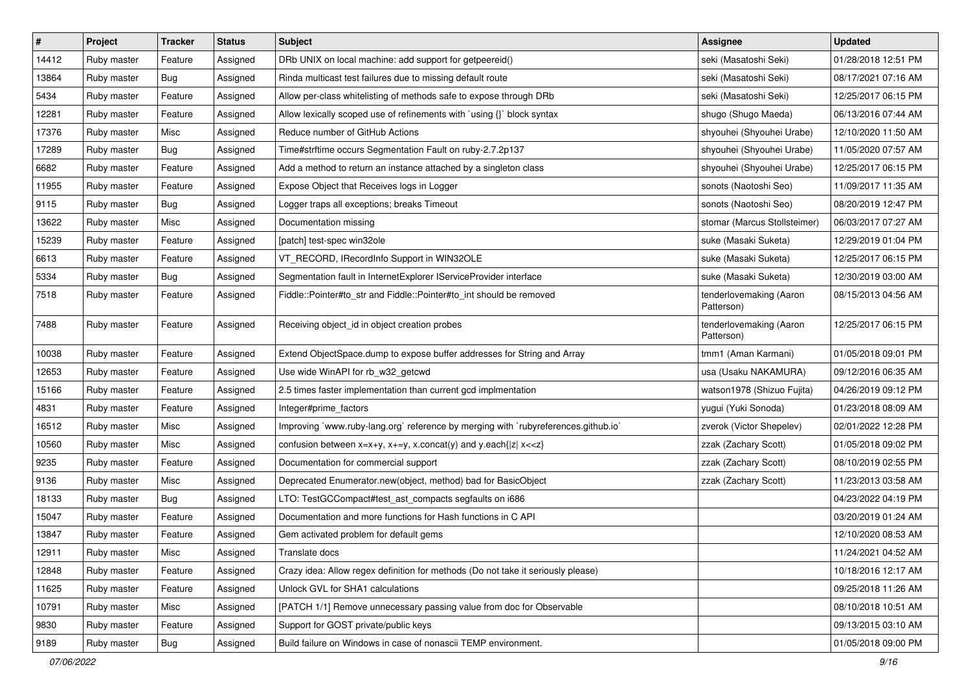| $\pmb{\#}$ | Project     | <b>Tracker</b> | <b>Status</b> | <b>Subject</b>                                                                     | <b>Assignee</b>                       | <b>Updated</b>      |
|------------|-------------|----------------|---------------|------------------------------------------------------------------------------------|---------------------------------------|---------------------|
| 14412      | Ruby master | Feature        | Assigned      | DRb UNIX on local machine: add support for getpeereid()                            | seki (Masatoshi Seki)                 | 01/28/2018 12:51 PM |
| 13864      | Ruby master | Bug            | Assigned      | Rinda multicast test failures due to missing default route                         | seki (Masatoshi Seki)                 | 08/17/2021 07:16 AM |
| 5434       | Ruby master | Feature        | Assigned      | Allow per-class whitelisting of methods safe to expose through DRb                 | seki (Masatoshi Seki)                 | 12/25/2017 06:15 PM |
| 12281      | Ruby master | Feature        | Assigned      | Allow lexically scoped use of refinements with `using {}` block syntax             | shugo (Shugo Maeda)                   | 06/13/2016 07:44 AM |
| 17376      | Ruby master | Misc           | Assigned      | Reduce number of GitHub Actions                                                    | shyouhei (Shyouhei Urabe)             | 12/10/2020 11:50 AM |
| 17289      | Ruby master | Bug            | Assigned      | Time#strftime occurs Segmentation Fault on ruby-2.7.2p137                          | shyouhei (Shyouhei Urabe)             | 11/05/2020 07:57 AM |
| 6682       | Ruby master | Feature        | Assigned      | Add a method to return an instance attached by a singleton class                   | shyouhei (Shyouhei Urabe)             | 12/25/2017 06:15 PM |
| 11955      | Ruby master | Feature        | Assigned      | Expose Object that Receives logs in Logger                                         | sonots (Naotoshi Seo)                 | 11/09/2017 11:35 AM |
| 9115       | Ruby master | Bug            | Assigned      | Logger traps all exceptions; breaks Timeout                                        | sonots (Naotoshi Seo)                 | 08/20/2019 12:47 PM |
| 13622      | Ruby master | Misc           | Assigned      | Documentation missing                                                              | stomar (Marcus Stollsteimer)          | 06/03/2017 07:27 AM |
| 15239      | Ruby master | Feature        | Assigned      | [patch] test-spec win32ole                                                         | suke (Masaki Suketa)                  | 12/29/2019 01:04 PM |
| 6613       | Ruby master | Feature        | Assigned      | VT_RECORD, IRecordInfo Support in WIN32OLE                                         | suke (Masaki Suketa)                  | 12/25/2017 06:15 PM |
| 5334       | Ruby master | Bug            | Assigned      | Segmentation fault in InternetExplorer IServiceProvider interface                  | suke (Masaki Suketa)                  | 12/30/2019 03:00 AM |
| 7518       | Ruby master | Feature        | Assigned      | Fiddle::Pointer#to_str and Fiddle::Pointer#to_int should be removed                | tenderlovemaking (Aaron<br>Patterson) | 08/15/2013 04:56 AM |
| 7488       | Ruby master | Feature        | Assigned      | Receiving object_id in object creation probes                                      | tenderlovemaking (Aaron<br>Patterson) | 12/25/2017 06:15 PM |
| 10038      | Ruby master | Feature        | Assigned      | Extend ObjectSpace.dump to expose buffer addresses for String and Array            | tmm1 (Aman Karmani)                   | 01/05/2018 09:01 PM |
| 12653      | Ruby master | Feature        | Assigned      | Use wide WinAPI for rb_w32_getcwd                                                  | usa (Usaku NAKAMURA)                  | 09/12/2016 06:35 AM |
| 15166      | Ruby master | Feature        | Assigned      | 2.5 times faster implementation than current gcd implmentation                     | watson1978 (Shizuo Fujita)            | 04/26/2019 09:12 PM |
| 4831       | Ruby master | Feature        | Assigned      | Integer#prime_factors                                                              | yugui (Yuki Sonoda)                   | 01/23/2018 08:09 AM |
| 16512      | Ruby master | Misc           | Assigned      | Improving `www.ruby-lang.org` reference by merging with `rubyreferences.github.io` | zverok (Victor Shepelev)              | 02/01/2022 12:28 PM |
| 10560      | Ruby master | Misc           | Assigned      | confusion between $x=x+y$ , $x+=y$ , x.concat(y) and y.each{ z  $x<}$              | zzak (Zachary Scott)                  | 01/05/2018 09:02 PM |
| 9235       | Ruby master | Feature        | Assigned      | Documentation for commercial support                                               | zzak (Zachary Scott)                  | 08/10/2019 02:55 PM |
| 9136       | Ruby master | Misc           | Assigned      | Deprecated Enumerator.new(object, method) bad for BasicObject                      | zzak (Zachary Scott)                  | 11/23/2013 03:58 AM |
| 18133      | Ruby master | Bug            | Assigned      | LTO: TestGCCompact#test_ast_compacts segfaults on i686                             |                                       | 04/23/2022 04:19 PM |
| 15047      | Ruby master | Feature        | Assigned      | Documentation and more functions for Hash functions in C API                       |                                       | 03/20/2019 01:24 AM |
| 13847      | Ruby master | Feature        | Assigned      | Gem activated problem for default gems                                             |                                       | 12/10/2020 08:53 AM |
| 12911      | Ruby master | Misc           | Assigned      | Translate docs                                                                     |                                       | 11/24/2021 04:52 AM |
| 12848      | Ruby master | Feature        | Assigned      | Crazy idea: Allow regex definition for methods (Do not take it seriously please)   |                                       | 10/18/2016 12:17 AM |
| 11625      | Ruby master | Feature        | Assigned      | Unlock GVL for SHA1 calculations                                                   |                                       | 09/25/2018 11:26 AM |
| 10791      | Ruby master | Misc           | Assigned      | [PATCH 1/1] Remove unnecessary passing value from doc for Observable               |                                       | 08/10/2018 10:51 AM |
| 9830       | Ruby master | Feature        | Assigned      | Support for GOST private/public keys                                               |                                       | 09/13/2015 03:10 AM |
| 9189       | Ruby master | <b>Bug</b>     | Assigned      | Build failure on Windows in case of nonascii TEMP environment.                     |                                       | 01/05/2018 09:00 PM |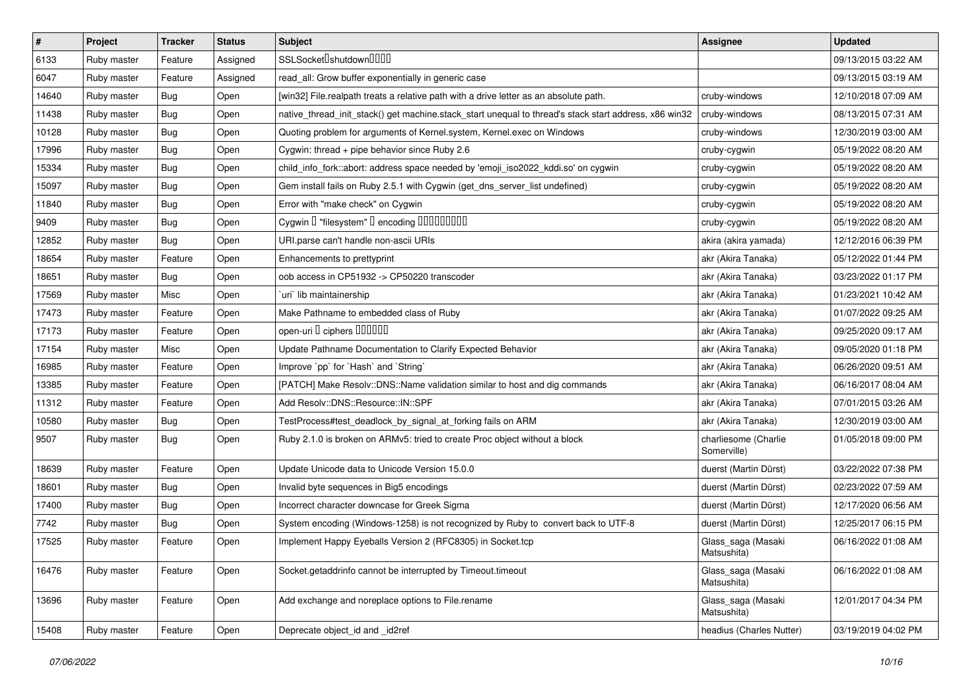| $\vert$ # | Project     | <b>Tracker</b> | <b>Status</b> | <b>Subject</b>                                                                                        | Assignee                            | <b>Updated</b>      |
|-----------|-------------|----------------|---------------|-------------------------------------------------------------------------------------------------------|-------------------------------------|---------------------|
| 6133      | Ruby master | Feature        | Assigned      | SSLSocket <sup>[]</sup> shutdown <sup>[][][]</sup>                                                    |                                     | 09/13/2015 03:22 AM |
| 6047      | Ruby master | Feature        | Assigned      | read_all: Grow buffer exponentially in generic case                                                   |                                     | 09/13/2015 03:19 AM |
| 14640     | Ruby master | Bug            | Open          | [win32] File.realpath treats a relative path with a drive letter as an absolute path.                 | cruby-windows                       | 12/10/2018 07:09 AM |
| 11438     | Ruby master | Bug            | Open          | native_thread_init_stack() get machine.stack_start unequal to thread's stack start address, x86 win32 | cruby-windows                       | 08/13/2015 07:31 AM |
| 10128     | Ruby master | Bug            | Open          | Quoting problem for arguments of Kernel.system, Kernel.exec on Windows                                | cruby-windows                       | 12/30/2019 03:00 AM |
| 17996     | Ruby master | Bug            | Open          | Cygwin: thread + pipe behavior since Ruby 2.6                                                         | cruby-cygwin                        | 05/19/2022 08:20 AM |
| 15334     | Ruby master | Bug            | Open          | child_info_fork::abort: address space needed by 'emoji_iso2022_kddi.so' on cygwin                     | cruby-cygwin                        | 05/19/2022 08:20 AM |
| 15097     | Ruby master | Bug            | Open          | Gem install fails on Ruby 2.5.1 with Cygwin (get_dns_server_list undefined)                           | cruby-cygwin                        | 05/19/2022 08:20 AM |
| 11840     | Ruby master | Bug            | Open          | Error with "make check" on Cygwin                                                                     | cruby-cygwin                        | 05/19/2022 08:20 AM |
| 9409      | Ruby master | Bug            | Open          | Cygwin I "filesystem" I encoding IIIIIIIIIIII                                                         | cruby-cygwin                        | 05/19/2022 08:20 AM |
| 12852     | Ruby master | Bug            | Open          | URI.parse can't handle non-ascii URIs                                                                 | akira (akira yamada)                | 12/12/2016 06:39 PM |
| 18654     | Ruby master | Feature        | Open          | Enhancements to prettyprint                                                                           | akr (Akira Tanaka)                  | 05/12/2022 01:44 PM |
| 18651     | Ruby master | Bug            | Open          | oob access in CP51932 -> CP50220 transcoder                                                           | akr (Akira Tanaka)                  | 03/23/2022 01:17 PM |
| 17569     | Ruby master | Misc           | Open          | uri lib maintainership                                                                                | akr (Akira Tanaka)                  | 01/23/2021 10:42 AM |
| 17473     | Ruby master | Feature        | Open          | Make Pathname to embedded class of Ruby                                                               | akr (Akira Tanaka)                  | 01/07/2022 09:25 AM |
| 17173     | Ruby master | Feature        | Open          | open-uri I ciphers IIIIIII                                                                            | akr (Akira Tanaka)                  | 09/25/2020 09:17 AM |
| 17154     | Ruby master | Misc           | Open          | Update Pathname Documentation to Clarify Expected Behavior                                            | akr (Akira Tanaka)                  | 09/05/2020 01:18 PM |
| 16985     | Ruby master | Feature        | Open          | Improve `pp` for `Hash` and `String`                                                                  | akr (Akira Tanaka)                  | 06/26/2020 09:51 AM |
| 13385     | Ruby master | Feature        | Open          | [PATCH] Make Resolv::DNS::Name validation similar to host and dig commands                            | akr (Akira Tanaka)                  | 06/16/2017 08:04 AM |
| 11312     | Ruby master | Feature        | Open          | Add Resolv::DNS::Resource::IN::SPF                                                                    | akr (Akira Tanaka)                  | 07/01/2015 03:26 AM |
| 10580     | Ruby master | Bug            | Open          | TestProcess#test_deadlock_by_signal_at_forking fails on ARM                                           | akr (Akira Tanaka)                  | 12/30/2019 03:00 AM |
| 9507      | Ruby master | Bug            | Open          | Ruby 2.1.0 is broken on ARMv5: tried to create Proc object without a block                            | charliesome (Charlie<br>Somerville) | 01/05/2018 09:00 PM |
| 18639     | Ruby master | Feature        | Open          | Update Unicode data to Unicode Version 15.0.0                                                         | duerst (Martin Dürst)               | 03/22/2022 07:38 PM |
| 18601     | Ruby master | Bug            | Open          | Invalid byte sequences in Big5 encodings                                                              | duerst (Martin Dürst)               | 02/23/2022 07:59 AM |
| 17400     | Ruby master | Bug            | Open          | Incorrect character downcase for Greek Sigma                                                          | duerst (Martin Dürst)               | 12/17/2020 06:56 AM |
| 7742      | Ruby master | Bug            | Open          | System encoding (Windows-1258) is not recognized by Ruby to convert back to UTF-8                     | duerst (Martin Dürst)               | 12/25/2017 06:15 PM |
| 17525     | Ruby master | Feature        | Open          | Implement Happy Eyeballs Version 2 (RFC8305) in Socket.tcp                                            | Glass_saga (Masaki<br>Matsushita)   | 06/16/2022 01:08 AM |
| 16476     | Ruby master | Feature        | Open          | Socket.getaddrinfo cannot be interrupted by Timeout.timeout                                           | Glass_saga (Masaki<br>Matsushita)   | 06/16/2022 01:08 AM |
| 13696     | Ruby master | Feature        | Open          | Add exchange and noreplace options to File.rename                                                     | Glass_saga (Masaki<br>Matsushita)   | 12/01/2017 04:34 PM |
| 15408     | Ruby master | Feature        | Open          | Deprecate object_id and _id2ref                                                                       | headius (Charles Nutter)            | 03/19/2019 04:02 PM |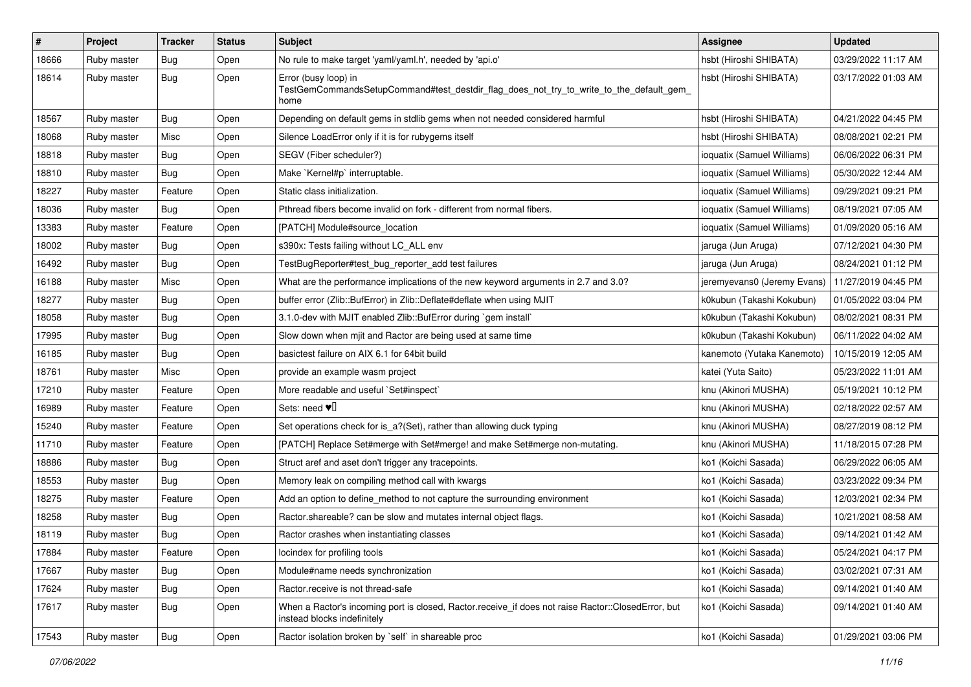| $\pmb{\#}$ | Project     | <b>Tracker</b> | <b>Status</b> | <b>Subject</b>                                                                                                                    | <b>Assignee</b>             | <b>Updated</b>      |
|------------|-------------|----------------|---------------|-----------------------------------------------------------------------------------------------------------------------------------|-----------------------------|---------------------|
| 18666      | Ruby master | Bug            | Open          | No rule to make target 'yaml/yaml.h', needed by 'api.o'                                                                           | hsbt (Hiroshi SHIBATA)      | 03/29/2022 11:17 AM |
| 18614      | Ruby master | Bug            | Open          | Error (busy loop) in<br>TestGemCommandsSetupCommand#test_destdir_flag_does_not_try_to_write_to_the_default_gem_<br>home           | hsbt (Hiroshi SHIBATA)      | 03/17/2022 01:03 AM |
| 18567      | Ruby master | <b>Bug</b>     | Open          | Depending on default gems in stdlib gems when not needed considered harmful                                                       | hsbt (Hiroshi SHIBATA)      | 04/21/2022 04:45 PM |
| 18068      | Ruby master | Misc           | Open          | Silence LoadError only if it is for rubygems itself                                                                               | hsbt (Hiroshi SHIBATA)      | 08/08/2021 02:21 PM |
| 18818      | Ruby master | Bug            | Open          | SEGV (Fiber scheduler?)                                                                                                           | ioquatix (Samuel Williams)  | 06/06/2022 06:31 PM |
| 18810      | Ruby master | <b>Bug</b>     | Open          | Make `Kernel#p` interruptable.                                                                                                    | ioquatix (Samuel Williams)  | 05/30/2022 12:44 AM |
| 18227      | Ruby master | Feature        | Open          | Static class initialization.                                                                                                      | ioquatix (Samuel Williams)  | 09/29/2021 09:21 PM |
| 18036      | Ruby master | Bug            | Open          | Pthread fibers become invalid on fork - different from normal fibers.                                                             | ioquatix (Samuel Williams)  | 08/19/2021 07:05 AM |
| 13383      | Ruby master | Feature        | Open          | [PATCH] Module#source_location                                                                                                    | ioquatix (Samuel Williams)  | 01/09/2020 05:16 AM |
| 18002      | Ruby master | Bug            | Open          | s390x: Tests failing without LC_ALL env                                                                                           | jaruga (Jun Aruga)          | 07/12/2021 04:30 PM |
| 16492      | Ruby master | Bug            | Open          | TestBugReporter#test_bug_reporter_add test failures                                                                               | jaruga (Jun Aruga)          | 08/24/2021 01:12 PM |
| 16188      | Ruby master | Misc           | Open          | What are the performance implications of the new keyword arguments in 2.7 and 3.0?                                                | jeremyevans0 (Jeremy Evans) | 11/27/2019 04:45 PM |
| 18277      | Ruby master | Bug            | Open          | buffer error (Zlib::BufError) in Zlib::Deflate#deflate when using MJIT                                                            | k0kubun (Takashi Kokubun)   | 01/05/2022 03:04 PM |
| 18058      | Ruby master | Bug            | Open          | 3.1.0-dev with MJIT enabled Zlib::BufError during `gem install`                                                                   | k0kubun (Takashi Kokubun)   | 08/02/2021 08:31 PM |
| 17995      | Ruby master | Bug            | Open          | Slow down when mjit and Ractor are being used at same time                                                                        | k0kubun (Takashi Kokubun)   | 06/11/2022 04:02 AM |
| 16185      | Ruby master | <b>Bug</b>     | Open          | basictest failure on AIX 6.1 for 64bit build                                                                                      | kanemoto (Yutaka Kanemoto)  | 10/15/2019 12:05 AM |
| 18761      | Ruby master | Misc           | Open          | provide an example wasm project                                                                                                   | katei (Yuta Saito)          | 05/23/2022 11:01 AM |
| 17210      | Ruby master | Feature        | Open          | More readable and useful `Set#inspect`                                                                                            | knu (Akinori MUSHA)         | 05/19/2021 10:12 PM |
| 16989      | Ruby master | Feature        | Open          | Sets: need $\Psi$                                                                                                                 | knu (Akinori MUSHA)         | 02/18/2022 02:57 AM |
| 15240      | Ruby master | Feature        | Open          | Set operations check for is_a?(Set), rather than allowing duck typing                                                             | knu (Akinori MUSHA)         | 08/27/2019 08:12 PM |
| 11710      | Ruby master | Feature        | Open          | [PATCH] Replace Set#merge with Set#merge! and make Set#merge non-mutating.                                                        | knu (Akinori MUSHA)         | 11/18/2015 07:28 PM |
| 18886      | Ruby master | Bug            | Open          | Struct aref and aset don't trigger any tracepoints.                                                                               | ko1 (Koichi Sasada)         | 06/29/2022 06:05 AM |
| 18553      | Ruby master | Bug            | Open          | Memory leak on compiling method call with kwargs                                                                                  | ko1 (Koichi Sasada)         | 03/23/2022 09:34 PM |
| 18275      | Ruby master | Feature        | Open          | Add an option to define_method to not capture the surrounding environment                                                         | ko1 (Koichi Sasada)         | 12/03/2021 02:34 PM |
| 18258      | Ruby master | Bug            | Open          | Ractor shareable? can be slow and mutates internal object flags.                                                                  | ko1 (Koichi Sasada)         | 10/21/2021 08:58 AM |
| 18119      | Ruby master | Bug            | Open          | Ractor crashes when instantiating classes                                                                                         | ko1 (Koichi Sasada)         | 09/14/2021 01:42 AM |
| 17884      | Ruby master | Feature        | Open          | locindex for profiling tools                                                                                                      | ko1 (Koichi Sasada)         | 05/24/2021 04:17 PM |
| 17667      | Ruby master | Bug            | Open          | Module#name needs synchronization                                                                                                 | ko1 (Koichi Sasada)         | 03/02/2021 07:31 AM |
| 17624      | Ruby master | Bug            | Open          | Ractor.receive is not thread-safe                                                                                                 | ko1 (Koichi Sasada)         | 09/14/2021 01:40 AM |
| 17617      | Ruby master | <b>Bug</b>     | Open          | When a Ractor's incoming port is closed, Ractor.receive_if does not raise Ractor::ClosedError, but<br>instead blocks indefinitely | ko1 (Koichi Sasada)         | 09/14/2021 01:40 AM |
| 17543      | Ruby master | Bug            | Open          | Ractor isolation broken by `self` in shareable proc                                                                               | ko1 (Koichi Sasada)         | 01/29/2021 03:06 PM |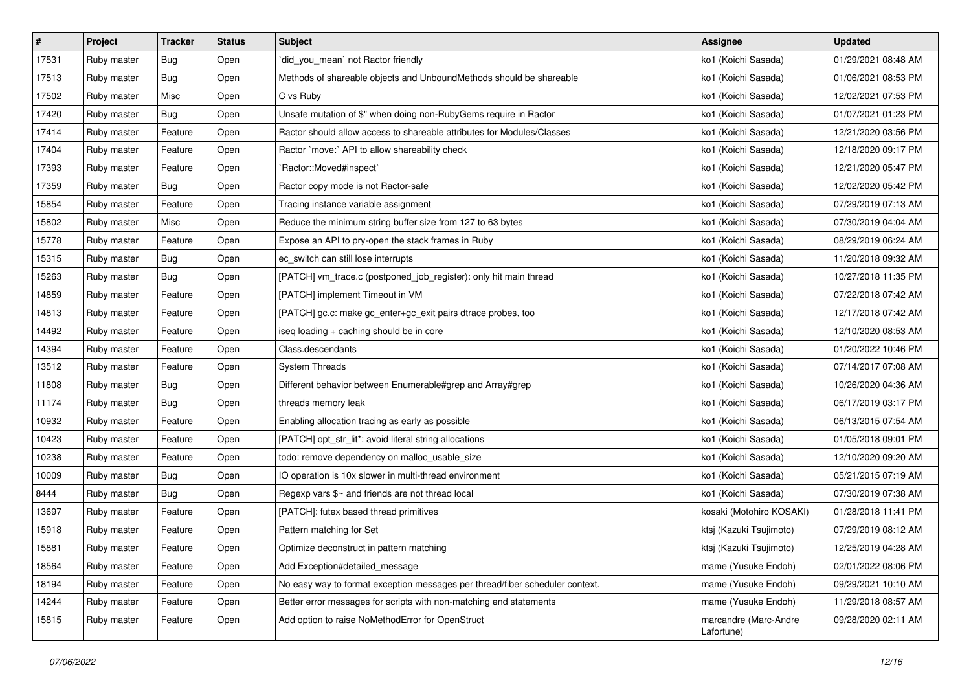| #     | Project     | <b>Tracker</b> | <b>Status</b> | Subject                                                                      | Assignee                            | <b>Updated</b>      |
|-------|-------------|----------------|---------------|------------------------------------------------------------------------------|-------------------------------------|---------------------|
| 17531 | Ruby master | Bug            | Open          | `did_you_mean` not Ractor friendly                                           | ko1 (Koichi Sasada)                 | 01/29/2021 08:48 AM |
| 17513 | Ruby master | Bug            | Open          | Methods of shareable objects and UnboundMethods should be shareable          | ko1 (Koichi Sasada)                 | 01/06/2021 08:53 PM |
| 17502 | Ruby master | Misc           | Open          | C vs Ruby                                                                    | ko1 (Koichi Sasada)                 | 12/02/2021 07:53 PM |
| 17420 | Ruby master | Bug            | Open          | Unsafe mutation of \$" when doing non-RubyGems require in Ractor             | ko1 (Koichi Sasada)                 | 01/07/2021 01:23 PM |
| 17414 | Ruby master | Feature        | Open          | Ractor should allow access to shareable attributes for Modules/Classes       | ko1 (Koichi Sasada)                 | 12/21/2020 03:56 PM |
| 17404 | Ruby master | Feature        | Open          | Ractor `move:` API to allow shareability check                               | ko1 (Koichi Sasada)                 | 12/18/2020 09:17 PM |
| 17393 | Ruby master | Feature        | Open          | `Ractor::Moved#inspect`                                                      | ko1 (Koichi Sasada)                 | 12/21/2020 05:47 PM |
| 17359 | Ruby master | Bug            | Open          | Ractor copy mode is not Ractor-safe                                          | ko1 (Koichi Sasada)                 | 12/02/2020 05:42 PM |
| 15854 | Ruby master | Feature        | Open          | Tracing instance variable assignment                                         | ko1 (Koichi Sasada)                 | 07/29/2019 07:13 AM |
| 15802 | Ruby master | Misc           | Open          | Reduce the minimum string buffer size from 127 to 63 bytes                   | ko1 (Koichi Sasada)                 | 07/30/2019 04:04 AM |
| 15778 | Ruby master | Feature        | Open          | Expose an API to pry-open the stack frames in Ruby                           | ko1 (Koichi Sasada)                 | 08/29/2019 06:24 AM |
| 15315 | Ruby master | Bug            | Open          | ec_switch can still lose interrupts                                          | ko1 (Koichi Sasada)                 | 11/20/2018 09:32 AM |
| 15263 | Ruby master | Bug            | Open          | [PATCH] vm_trace.c (postponed_job_register): only hit main thread            | ko1 (Koichi Sasada)                 | 10/27/2018 11:35 PM |
| 14859 | Ruby master | Feature        | Open          | [PATCH] implement Timeout in VM                                              | ko1 (Koichi Sasada)                 | 07/22/2018 07:42 AM |
| 14813 | Ruby master | Feature        | Open          | [PATCH] gc.c: make gc_enter+gc_exit pairs dtrace probes, too                 | ko1 (Koichi Sasada)                 | 12/17/2018 07:42 AM |
| 14492 | Ruby master | Feature        | Open          | iseq loading + caching should be in core                                     | ko1 (Koichi Sasada)                 | 12/10/2020 08:53 AM |
| 14394 | Ruby master | Feature        | Open          | Class.descendants                                                            | ko1 (Koichi Sasada)                 | 01/20/2022 10:46 PM |
| 13512 | Ruby master | Feature        | Open          | <b>System Threads</b>                                                        | ko1 (Koichi Sasada)                 | 07/14/2017 07:08 AM |
| 11808 | Ruby master | Bug            | Open          | Different behavior between Enumerable#grep and Array#grep                    | ko1 (Koichi Sasada)                 | 10/26/2020 04:36 AM |
| 11174 | Ruby master | Bug            | Open          | threads memory leak                                                          | ko1 (Koichi Sasada)                 | 06/17/2019 03:17 PM |
| 10932 | Ruby master | Feature        | Open          | Enabling allocation tracing as early as possible                             | ko1 (Koichi Sasada)                 | 06/13/2015 07:54 AM |
| 10423 | Ruby master | Feature        | Open          | [PATCH] opt_str_lit*: avoid literal string allocations                       | ko1 (Koichi Sasada)                 | 01/05/2018 09:01 PM |
| 10238 | Ruby master | Feature        | Open          | todo: remove dependency on malloc_usable_size                                | ko1 (Koichi Sasada)                 | 12/10/2020 09:20 AM |
| 10009 | Ruby master | Bug            | Open          | IO operation is 10x slower in multi-thread environment                       | ko1 (Koichi Sasada)                 | 05/21/2015 07:19 AM |
| 8444  | Ruby master | Bug            | Open          | Regexp vars \$~ and friends are not thread local                             | ko1 (Koichi Sasada)                 | 07/30/2019 07:38 AM |
| 13697 | Ruby master | Feature        | Open          | [PATCH]: futex based thread primitives                                       | kosaki (Motohiro KOSAKI)            | 01/28/2018 11:41 PM |
| 15918 | Ruby master | Feature        | Open          | Pattern matching for Set                                                     | ktsj (Kazuki Tsujimoto)             | 07/29/2019 08:12 AM |
| 15881 | Ruby master | Feature        | Open          | Optimize deconstruct in pattern matching                                     | ktsj (Kazuki Tsujimoto)             | 12/25/2019 04:28 AM |
| 18564 | Ruby master | Feature        | Open          | Add Exception#detailed message                                               | mame (Yusuke Endoh)                 | 02/01/2022 08:06 PM |
| 18194 | Ruby master | Feature        | Open          | No easy way to format exception messages per thread/fiber scheduler context. | mame (Yusuke Endoh)                 | 09/29/2021 10:10 AM |
| 14244 | Ruby master | Feature        | Open          | Better error messages for scripts with non-matching end statements           | mame (Yusuke Endoh)                 | 11/29/2018 08:57 AM |
| 15815 | Ruby master | Feature        | Open          | Add option to raise NoMethodError for OpenStruct                             | marcandre (Marc-Andre<br>Lafortune) | 09/28/2020 02:11 AM |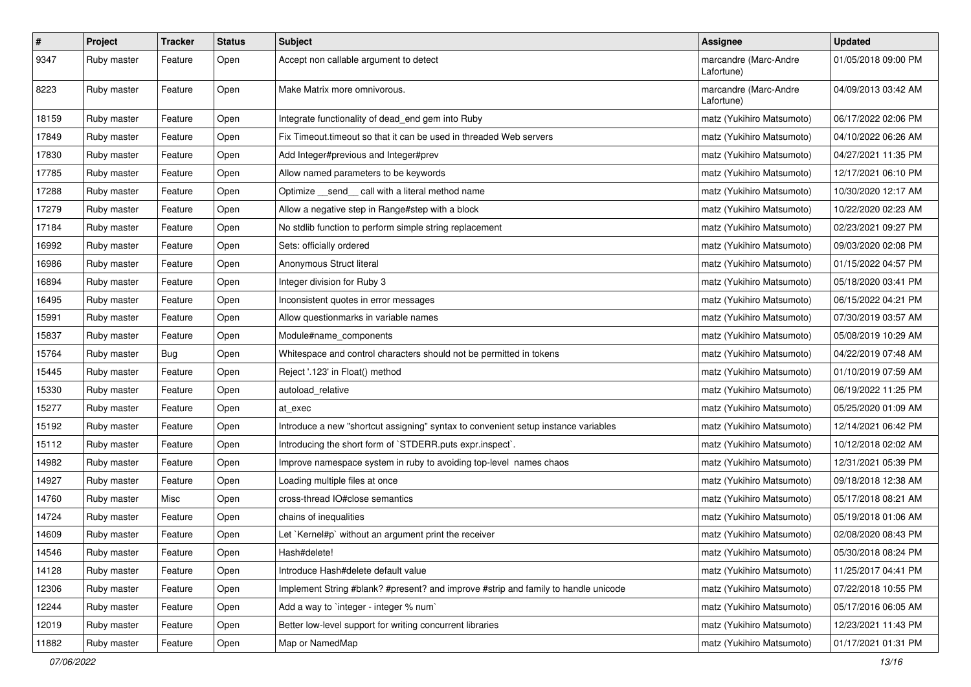| $\pmb{\#}$ | Project     | <b>Tracker</b> | <b>Status</b> | <b>Subject</b>                                                                     | Assignee                            | <b>Updated</b>      |
|------------|-------------|----------------|---------------|------------------------------------------------------------------------------------|-------------------------------------|---------------------|
| 9347       | Ruby master | Feature        | Open          | Accept non callable argument to detect                                             | marcandre (Marc-Andre<br>Lafortune) | 01/05/2018 09:00 PM |
| 8223       | Ruby master | Feature        | Open          | Make Matrix more omnivorous.                                                       | marcandre (Marc-Andre<br>Lafortune) | 04/09/2013 03:42 AM |
| 18159      | Ruby master | Feature        | Open          | Integrate functionality of dead_end gem into Ruby                                  | matz (Yukihiro Matsumoto)           | 06/17/2022 02:06 PM |
| 17849      | Ruby master | Feature        | Open          | Fix Timeout timeout so that it can be used in threaded Web servers                 | matz (Yukihiro Matsumoto)           | 04/10/2022 06:26 AM |
| 17830      | Ruby master | Feature        | Open          | Add Integer#previous and Integer#prev                                              | matz (Yukihiro Matsumoto)           | 04/27/2021 11:35 PM |
| 17785      | Ruby master | Feature        | Open          | Allow named parameters to be keywords                                              | matz (Yukihiro Matsumoto)           | 12/17/2021 06:10 PM |
| 17288      | Ruby master | Feature        | Open          | Optimize __ send __ call with a literal method name                                | matz (Yukihiro Matsumoto)           | 10/30/2020 12:17 AM |
| 17279      | Ruby master | Feature        | Open          | Allow a negative step in Range#step with a block                                   | matz (Yukihiro Matsumoto)           | 10/22/2020 02:23 AM |
| 17184      | Ruby master | Feature        | Open          | No stdlib function to perform simple string replacement                            | matz (Yukihiro Matsumoto)           | 02/23/2021 09:27 PM |
| 16992      | Ruby master | Feature        | Open          | Sets: officially ordered                                                           | matz (Yukihiro Matsumoto)           | 09/03/2020 02:08 PM |
| 16986      | Ruby master | Feature        | Open          | Anonymous Struct literal                                                           | matz (Yukihiro Matsumoto)           | 01/15/2022 04:57 PM |
| 16894      | Ruby master | Feature        | Open          | Integer division for Ruby 3                                                        | matz (Yukihiro Matsumoto)           | 05/18/2020 03:41 PM |
| 16495      | Ruby master | Feature        | Open          | Inconsistent quotes in error messages                                              | matz (Yukihiro Matsumoto)           | 06/15/2022 04:21 PM |
| 15991      | Ruby master | Feature        | Open          | Allow questionmarks in variable names                                              | matz (Yukihiro Matsumoto)           | 07/30/2019 03:57 AM |
| 15837      | Ruby master | Feature        | Open          | Module#name_components                                                             | matz (Yukihiro Matsumoto)           | 05/08/2019 10:29 AM |
| 15764      | Ruby master | <b>Bug</b>     | Open          | Whitespace and control characters should not be permitted in tokens                | matz (Yukihiro Matsumoto)           | 04/22/2019 07:48 AM |
| 15445      | Ruby master | Feature        | Open          | Reject '.123' in Float() method                                                    | matz (Yukihiro Matsumoto)           | 01/10/2019 07:59 AM |
| 15330      | Ruby master | Feature        | Open          | autoload_relative                                                                  | matz (Yukihiro Matsumoto)           | 06/19/2022 11:25 PM |
| 15277      | Ruby master | Feature        | Open          | at exec                                                                            | matz (Yukihiro Matsumoto)           | 05/25/2020 01:09 AM |
| 15192      | Ruby master | Feature        | Open          | Introduce a new "shortcut assigning" syntax to convenient setup instance variables | matz (Yukihiro Matsumoto)           | 12/14/2021 06:42 PM |
| 15112      | Ruby master | Feature        | Open          | Introducing the short form of `STDERR.puts expr.inspect`.                          | matz (Yukihiro Matsumoto)           | 10/12/2018 02:02 AM |
| 14982      | Ruby master | Feature        | Open          | Improve namespace system in ruby to avoiding top-level names chaos                 | matz (Yukihiro Matsumoto)           | 12/31/2021 05:39 PM |
| 14927      | Ruby master | Feature        | Open          | Loading multiple files at once                                                     | matz (Yukihiro Matsumoto)           | 09/18/2018 12:38 AM |
| 14760      | Ruby master | Misc           | Open          | cross-thread IO#close semantics                                                    | matz (Yukihiro Matsumoto)           | 05/17/2018 08:21 AM |
| 14724      | Ruby master | Feature        | Open          | chains of inequalities                                                             | matz (Yukihiro Matsumoto)           | 05/19/2018 01:06 AM |
| 14609      | Ruby master | Feature        | Open          | Let `Kernel#p` without an argument print the receiver                              | matz (Yukihiro Matsumoto)           | 02/08/2020 08:43 PM |
| 14546      | Ruby master | Feature        | Open          | Hash#delete!                                                                       | matz (Yukihiro Matsumoto)           | 05/30/2018 08:24 PM |
| 14128      | Ruby master | Feature        | Open          | Introduce Hash#delete default value                                                | matz (Yukihiro Matsumoto)           | 11/25/2017 04:41 PM |
| 12306      | Ruby master | Feature        | Open          | Implement String #blank? #present? and improve #strip and family to handle unicode | matz (Yukihiro Matsumoto)           | 07/22/2018 10:55 PM |
| 12244      | Ruby master | Feature        | Open          | Add a way to 'integer - integer % num'                                             | matz (Yukihiro Matsumoto)           | 05/17/2016 06:05 AM |
| 12019      | Ruby master | Feature        | Open          | Better low-level support for writing concurrent libraries                          | matz (Yukihiro Matsumoto)           | 12/23/2021 11:43 PM |
| 11882      | Ruby master | Feature        | Open          | Map or NamedMap                                                                    | matz (Yukihiro Matsumoto)           | 01/17/2021 01:31 PM |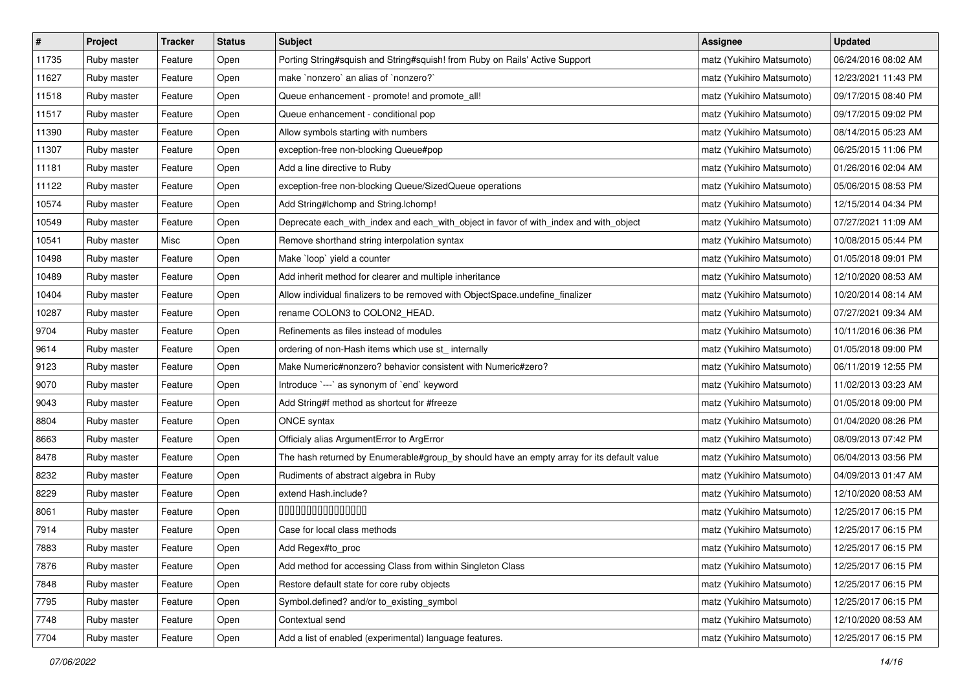| $\pmb{\#}$ | Project     | <b>Tracker</b> | <b>Status</b> | <b>Subject</b>                                                                            | Assignee                  | <b>Updated</b>      |
|------------|-------------|----------------|---------------|-------------------------------------------------------------------------------------------|---------------------------|---------------------|
| 11735      | Ruby master | Feature        | Open          | Porting String#squish and String#squish! from Ruby on Rails' Active Support               | matz (Yukihiro Matsumoto) | 06/24/2016 08:02 AM |
| 11627      | Ruby master | Feature        | Open          | make `nonzero` an alias of `nonzero?`                                                     | matz (Yukihiro Matsumoto) | 12/23/2021 11:43 PM |
| 11518      | Ruby master | Feature        | Open          | Queue enhancement - promote! and promote_all!                                             | matz (Yukihiro Matsumoto) | 09/17/2015 08:40 PM |
| 11517      | Ruby master | Feature        | Open          | Queue enhancement - conditional pop                                                       | matz (Yukihiro Matsumoto) | 09/17/2015 09:02 PM |
| 11390      | Ruby master | Feature        | Open          | Allow symbols starting with numbers                                                       | matz (Yukihiro Matsumoto) | 08/14/2015 05:23 AM |
| 11307      | Ruby master | Feature        | Open          | exception-free non-blocking Queue#pop                                                     | matz (Yukihiro Matsumoto) | 06/25/2015 11:06 PM |
| 11181      | Ruby master | Feature        | Open          | Add a line directive to Ruby                                                              | matz (Yukihiro Matsumoto) | 01/26/2016 02:04 AM |
| 11122      | Ruby master | Feature        | Open          | exception-free non-blocking Queue/SizedQueue operations                                   | matz (Yukihiro Matsumoto) | 05/06/2015 08:53 PM |
| 10574      | Ruby master | Feature        | Open          | Add String#Ichomp and String.Ichomp!                                                      | matz (Yukihiro Matsumoto) | 12/15/2014 04:34 PM |
| 10549      | Ruby master | Feature        | Open          | Deprecate each_with_index and each_with_object in favor of with_index and with_object     | matz (Yukihiro Matsumoto) | 07/27/2021 11:09 AM |
| 10541      | Ruby master | Misc           | Open          | Remove shorthand string interpolation syntax                                              | matz (Yukihiro Matsumoto) | 10/08/2015 05:44 PM |
| 10498      | Ruby master | Feature        | Open          | Make `loop` yield a counter                                                               | matz (Yukihiro Matsumoto) | 01/05/2018 09:01 PM |
| 10489      | Ruby master | Feature        | Open          | Add inherit method for clearer and multiple inheritance                                   | matz (Yukihiro Matsumoto) | 12/10/2020 08:53 AM |
| 10404      | Ruby master | Feature        | Open          | Allow individual finalizers to be removed with ObjectSpace.undefine_finalizer             | matz (Yukihiro Matsumoto) | 10/20/2014 08:14 AM |
| 10287      | Ruby master | Feature        | Open          | rename COLON3 to COLON2_HEAD.                                                             | matz (Yukihiro Matsumoto) | 07/27/2021 09:34 AM |
| 9704       | Ruby master | Feature        | Open          | Refinements as files instead of modules                                                   | matz (Yukihiro Matsumoto) | 10/11/2016 06:36 PM |
| 9614       | Ruby master | Feature        | Open          | ordering of non-Hash items which use st_ internally                                       | matz (Yukihiro Matsumoto) | 01/05/2018 09:00 PM |
| 9123       | Ruby master | Feature        | Open          | Make Numeric#nonzero? behavior consistent with Numeric#zero?                              | matz (Yukihiro Matsumoto) | 06/11/2019 12:55 PM |
| 9070       | Ruby master | Feature        | Open          | Introduce `---` as synonym of `end` keyword                                               | matz (Yukihiro Matsumoto) | 11/02/2013 03:23 AM |
| 9043       | Ruby master | Feature        | Open          | Add String#f method as shortcut for #freeze                                               | matz (Yukihiro Matsumoto) | 01/05/2018 09:00 PM |
| 8804       | Ruby master | Feature        | Open          | <b>ONCE</b> syntax                                                                        | matz (Yukihiro Matsumoto) | 01/04/2020 08:26 PM |
| 8663       | Ruby master | Feature        | Open          | Officialy alias ArgumentError to ArgError                                                 | matz (Yukihiro Matsumoto) | 08/09/2013 07:42 PM |
| 8478       | Ruby master | Feature        | Open          | The hash returned by Enumerable#group_by should have an empty array for its default value | matz (Yukihiro Matsumoto) | 06/04/2013 03:56 PM |
| 8232       | Ruby master | Feature        | Open          | Rudiments of abstract algebra in Ruby                                                     | matz (Yukihiro Matsumoto) | 04/09/2013 01:47 AM |
| 8229       | Ruby master | Feature        | Open          | extend Hash.include?                                                                      | matz (Yukihiro Matsumoto) | 12/10/2020 08:53 AM |
| 8061       | Ruby master | Feature        | Open          | 000000000000000                                                                           | matz (Yukihiro Matsumoto) | 12/25/2017 06:15 PM |
| 7914       | Ruby master | Feature        | Open          | Case for local class methods                                                              | matz (Yukihiro Matsumoto) | 12/25/2017 06:15 PM |
| 7883       | Ruby master | Feature        | Open          | Add Regex#to_proc                                                                         | matz (Yukihiro Matsumoto) | 12/25/2017 06:15 PM |
| 7876       | Ruby master | Feature        | Open          | Add method for accessing Class from within Singleton Class                                | matz (Yukihiro Matsumoto) | 12/25/2017 06:15 PM |
| 7848       | Ruby master | Feature        | Open          | Restore default state for core ruby objects                                               | matz (Yukihiro Matsumoto) | 12/25/2017 06:15 PM |
| 7795       | Ruby master | Feature        | Open          | Symbol.defined? and/or to_existing_symbol                                                 | matz (Yukihiro Matsumoto) | 12/25/2017 06:15 PM |
| 7748       | Ruby master | Feature        | Open          | Contextual send                                                                           | matz (Yukihiro Matsumoto) | 12/10/2020 08:53 AM |
| 7704       | Ruby master | Feature        | Open          | Add a list of enabled (experimental) language features.                                   | matz (Yukihiro Matsumoto) | 12/25/2017 06:15 PM |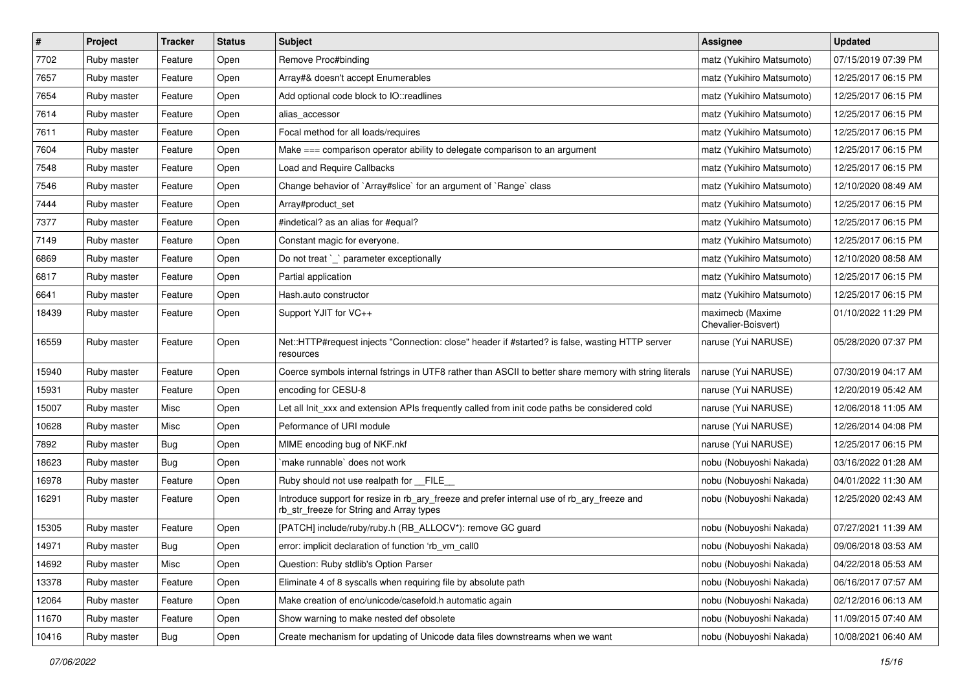| $\pmb{\#}$ | Project     | <b>Tracker</b> | <b>Status</b> | <b>Subject</b>                                                                                                                         | <b>Assignee</b>                         | <b>Updated</b>      |
|------------|-------------|----------------|---------------|----------------------------------------------------------------------------------------------------------------------------------------|-----------------------------------------|---------------------|
| 7702       | Ruby master | Feature        | Open          | Remove Proc#binding                                                                                                                    | matz (Yukihiro Matsumoto)               | 07/15/2019 07:39 PM |
| 7657       | Ruby master | Feature        | Open          | Array#& doesn't accept Enumerables                                                                                                     | matz (Yukihiro Matsumoto)               | 12/25/2017 06:15 PM |
| 7654       | Ruby master | Feature        | Open          | Add optional code block to IO::readlines                                                                                               | matz (Yukihiro Matsumoto)               | 12/25/2017 06:15 PM |
| 7614       | Ruby master | Feature        | Open          | alias_accessor                                                                                                                         | matz (Yukihiro Matsumoto)               | 12/25/2017 06:15 PM |
| 7611       | Ruby master | Feature        | Open          | Focal method for all loads/requires                                                                                                    | matz (Yukihiro Matsumoto)               | 12/25/2017 06:15 PM |
| 7604       | Ruby master | Feature        | Open          | Make === comparison operator ability to delegate comparison to an argument                                                             | matz (Yukihiro Matsumoto)               | 12/25/2017 06:15 PM |
| 7548       | Ruby master | Feature        | Open          | Load and Require Callbacks                                                                                                             | matz (Yukihiro Matsumoto)               | 12/25/2017 06:15 PM |
| 7546       | Ruby master | Feature        | Open          | Change behavior of `Array#slice` for an argument of `Range` class                                                                      | matz (Yukihiro Matsumoto)               | 12/10/2020 08:49 AM |
| 7444       | Ruby master | Feature        | Open          | Array#product_set                                                                                                                      | matz (Yukihiro Matsumoto)               | 12/25/2017 06:15 PM |
| 7377       | Ruby master | Feature        | Open          | #indetical? as an alias for #equal?                                                                                                    | matz (Yukihiro Matsumoto)               | 12/25/2017 06:15 PM |
| 7149       | Ruby master | Feature        | Open          | Constant magic for everyone.                                                                                                           | matz (Yukihiro Matsumoto)               | 12/25/2017 06:15 PM |
| 6869       | Ruby master | Feature        | Open          | Do not treat `_` parameter exceptionally                                                                                               | matz (Yukihiro Matsumoto)               | 12/10/2020 08:58 AM |
| 6817       | Ruby master | Feature        | Open          | Partial application                                                                                                                    | matz (Yukihiro Matsumoto)               | 12/25/2017 06:15 PM |
| 6641       | Ruby master | Feature        | Open          | Hash.auto constructor                                                                                                                  | matz (Yukihiro Matsumoto)               | 12/25/2017 06:15 PM |
| 18439      | Ruby master | Feature        | Open          | Support YJIT for VC++                                                                                                                  | maximecb (Maxime<br>Chevalier-Boisvert) | 01/10/2022 11:29 PM |
| 16559      | Ruby master | Feature        | Open          | Net::HTTP#request injects "Connection: close" header if #started? is false, wasting HTTP server<br>resources                           | naruse (Yui NARUSE)                     | 05/28/2020 07:37 PM |
| 15940      | Ruby master | Feature        | Open          | Coerce symbols internal fstrings in UTF8 rather than ASCII to better share memory with string literals                                 | naruse (Yui NARUSE)                     | 07/30/2019 04:17 AM |
| 15931      | Ruby master | Feature        | Open          | encoding for CESU-8                                                                                                                    | naruse (Yui NARUSE)                     | 12/20/2019 05:42 AM |
| 15007      | Ruby master | Misc           | Open          | Let all Init_xxx and extension APIs frequently called from init code paths be considered cold                                          | naruse (Yui NARUSE)                     | 12/06/2018 11:05 AM |
| 10628      | Ruby master | Misc           | Open          | Peformance of URI module                                                                                                               | naruse (Yui NARUSE)                     | 12/26/2014 04:08 PM |
| 7892       | Ruby master | Bug            | Open          | MIME encoding bug of NKF.nkf                                                                                                           | naruse (Yui NARUSE)                     | 12/25/2017 06:15 PM |
| 18623      | Ruby master | Bug            | Open          | `make runnable` does not work                                                                                                          | nobu (Nobuyoshi Nakada)                 | 03/16/2022 01:28 AM |
| 16978      | Ruby master | Feature        | Open          | Ruby should not use realpath for FILE                                                                                                  | nobu (Nobuyoshi Nakada)                 | 04/01/2022 11:30 AM |
| 16291      | Ruby master | Feature        | Open          | Introduce support for resize in rb_ary_freeze and prefer internal use of rb_ary_freeze and<br>rb_str_freeze for String and Array types | nobu (Nobuyoshi Nakada)                 | 12/25/2020 02:43 AM |
| 15305      | Ruby master | Feature        | Open          | [PATCH] include/ruby/ruby.h (RB_ALLOCV*): remove GC guard                                                                              | nobu (Nobuyoshi Nakada)                 | 07/27/2021 11:39 AM |
| 14971      | Ruby master | Bug            | Open          | error: implicit declaration of function 'rb_vm_call0                                                                                   | nobu (Nobuyoshi Nakada)                 | 09/06/2018 03:53 AM |
| 14692      | Ruby master | Misc           | Open          | Question: Ruby stdlib's Option Parser                                                                                                  | nobu (Nobuyoshi Nakada)                 | 04/22/2018 05:53 AM |
| 13378      | Ruby master | Feature        | Open          | Eliminate 4 of 8 syscalls when requiring file by absolute path                                                                         | nobu (Nobuyoshi Nakada)                 | 06/16/2017 07:57 AM |
| 12064      | Ruby master | Feature        | Open          | Make creation of enc/unicode/casefold.h automatic again                                                                                | nobu (Nobuyoshi Nakada)                 | 02/12/2016 06:13 AM |
| 11670      | Ruby master | Feature        | Open          | Show warning to make nested def obsolete                                                                                               | nobu (Nobuyoshi Nakada)                 | 11/09/2015 07:40 AM |
| 10416      | Ruby master | <b>Bug</b>     | Open          | Create mechanism for updating of Unicode data files downstreams when we want                                                           | nobu (Nobuyoshi Nakada)                 | 10/08/2021 06:40 AM |